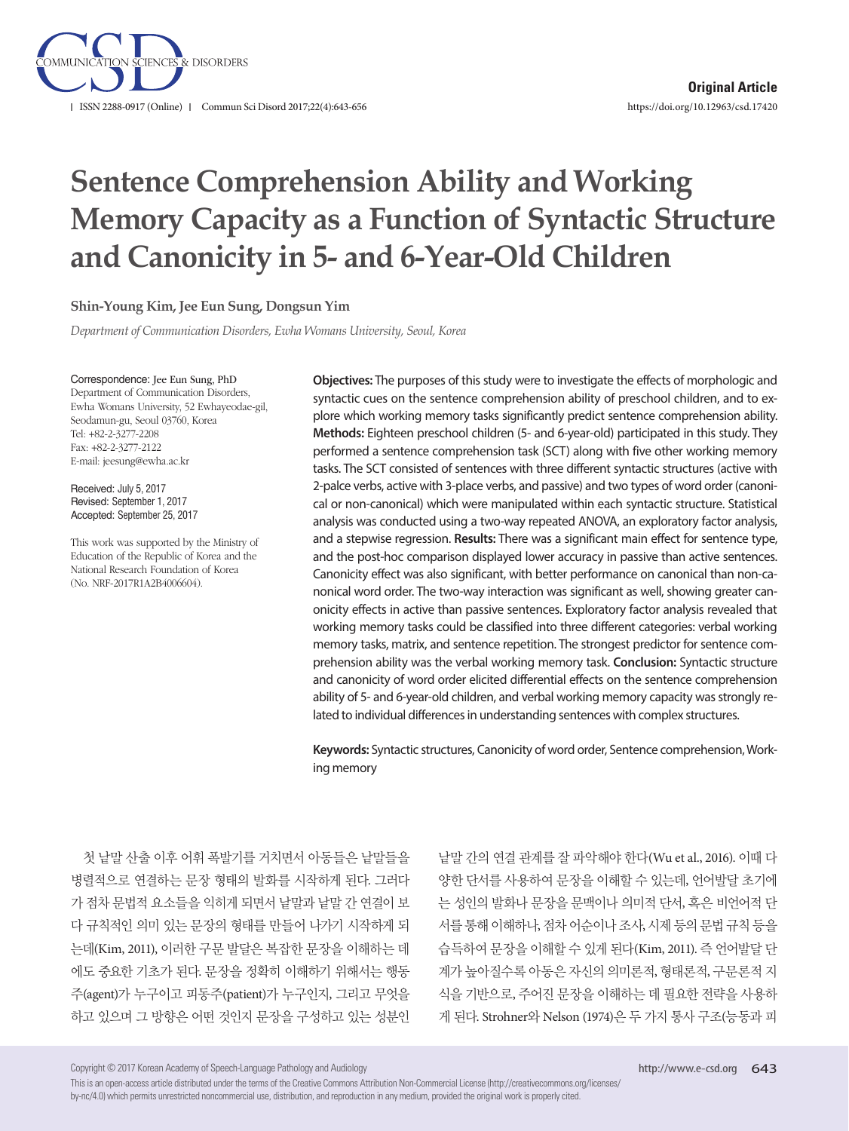

# **Sentence Comprehension Ability and Working Memory Capacity as a Function of Syntactic Structure and Canonicity in 5- and 6-Year-Old Children**

#### **Shin-Young Kim, Jee Eun Sung, Dongsun Yim**

*Department of Communication Disorders, Ewha Womans University, Seoul, Korea*

Correspondence: Jee Eun Sung, PhD Department of Communication Disorders, Ewha Womans University, 52 Ewhayeodae-gil, Seodamun-gu, Seoul 03760, Korea Tel: +82-2-3277-2208 Fax: +82-2-3277-2122 E-mail: jeesung@ewha.ac.kr

Received: July 5, 2017 Revised: September 1, 2017 Accepted: September 25, 2017

This work was supported by the Ministry of Education of the Republic of Korea and the National Research Foundation of Korea (No. NRF-2017R1A2B4006604).

**Objectives:** The purposes of this study were to investigate the effects of morphologic and syntactic cues on the sentence comprehension ability of preschool children, and to explore which working memory tasks significantly predict sentence comprehension ability. **Methods:** Eighteen preschool children (5- and 6-year-old) participated in this study. They performed a sentence comprehension task (SCT) along with five other working memory tasks. The SCT consisted of sentences with three different syntactic structures (active with 2-palce verbs, active with 3-place verbs, and passive) and two types of word order (canonical or non-canonical) which were manipulated within each syntactic structure. Statistical analysis was conducted using a two-way repeated ANOVA, an exploratory factor analysis, and a stepwise regression. **Results:** There was a significant main effect for sentence type, and the post-hoc comparison displayed lower accuracy in passive than active sentences. Canonicity effect was also significant, with better performance on canonical than non-canonical word order. The two-way interaction was significant as well, showing greater canonicity effects in active than passive sentences. Exploratory factor analysis revealed that working memory tasks could be classified into three different categories: verbal working memory tasks, matrix, and sentence repetition. The strongest predictor for sentence comprehension ability was the verbal working memory task. **Conclusion:** Syntactic structure and canonicity of word order elicited differential effects on the sentence comprehension ability of 5- and 6-year-old children, and verbal working memory capacity was strongly related to individual differences in understanding sentences with complex structures.

**Keywords:** Syntactic structures, Canonicity of word order, Sentence comprehension, Working memory

첫 낱말 산출 이후 어휘 폭발기를 거치면서 아동들은 낱말들을 병렬적으로 연결하는 문장 형태의 발화를 시작하게 된다. 그러다 가 점차 문법적 요소들을 익히게 되면서 낱말과 낱말 간 연결이 보 다 규칙적인 의미 있는 문장의 형태를 만들어 나가기 시작하게 되 는데(Kim, 2011), 이러한 구문 발달은 복잡한 문장을 이해하는 데 에도 중요한 기초가 된다. 문장을 정확히 이해하기 위해서는 행동 주(agent)가 누구이고 피동주(patient)가 누구인지, 그리고 무엇을 하고 있으며 그 방향은 어떤 것인지 문장을 구성하고 있는 성분인

낱말 간의 연결 관계를 잘 파악해야 한다(Wu et al., 2016). 이때 다 양한 단서를 사용하여 문장을 이해할 수 있는데, 언어발달 초기에 는 성인의 발화나 문장을 문맥이나 의미적 단서, 혹은 비언어적 단 서를 통해 이해하나, 점차 어순이나 조사, 시제 등의 문법 규칙 등을 습득하여 문장을 이해할 수 있게 된다(Kim, 2011). 즉 언어발달 단 계가 높아질수록 아동은 자신의 의미론적, 형태론적, 구문론적 지 식을 기반으로, 주어진 문장을 이해하는 데 필요한 전략을 사용하 게 된다. Strohner와 Nelson (1974)은 두 가지 통사 구조(능동과 피

Copyright © 2017 Korean Academy of Speech-Language Pathology and Audiology

This is an open-access article distributed under the terms of the Creative Commons Attribution Non-Commercial License (http://creativecommons.org/licenses/ by-nc/4.0) which permits unrestricted noncommercial use, distribution, and reproduction in any medium, provided the original work is properly cited.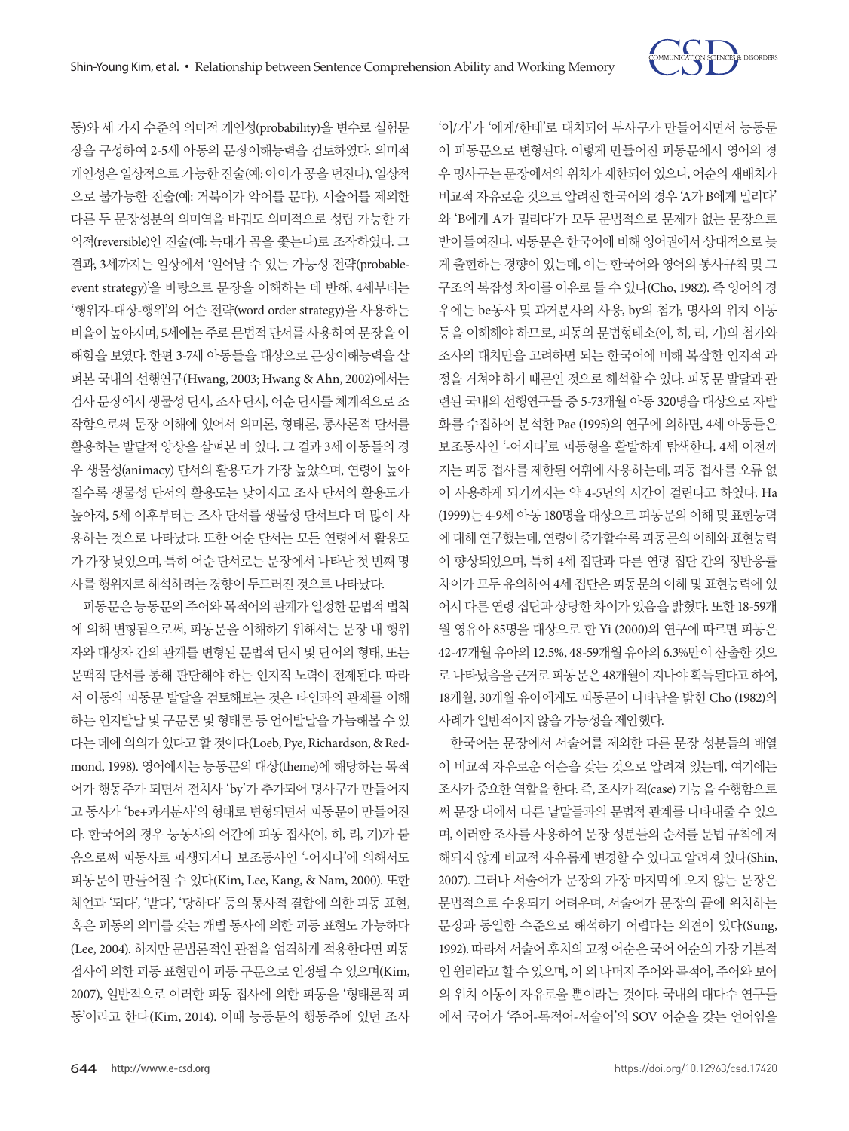

'이/가'가 '에게/한테'로 대치되어 부사구가 만들어지면서 능동문 이 피동문으로 변형된다. 이렇게 만들어진 피동문에서 영어의 경 우 명사구는 문장에서의 위치가 제한되어 있으나, 어순의 재배치가 비교적 자유로운 것으로 알려진 한국어의 경우 'A가 B에게 밀리다' 와 'B에게 A가 밀리다'가 모두 문법적으로 문제가 없는 문장으로 받아들여진다. 피동문은한국어에비해영어권에서상대적으로늦 게 출현하는 경향이 있는데, 이는 한국어와 영어의 통사규칙 및 그 구조의 복잡성 차이를 이유로 들 수 있다(Cho, 1982). 즉 영어의 경 우에는 be동사 및 과거분사의 사용, by의 첨가, 명사의 위치 이동 등을 이해해야 하므로, 피동의 문법형태소(이, 히, 리, 기)의 첨가와 조사의 대치만을 고려하면 되는 한국어에 비해 복잡한 인지적 과 정을 거쳐야 하기 때문인 것으로 해석할 수 있다. 피동문 발달과 관 련된 국내의 선행연구들 중 5-73개월 아동 320명을 대상으로 자발 화를 수집하여 분석한 Pae (1995)의 연구에 의하면, 4세 아동들은 보조동사인 '-어지다'로 피동형을 활발하게 탐색한다. 4세 이전까 지는 피동 접사를 제한된 어휘에 사용하는데, 피동 접사를 오류 없 이 사용하게 되기까지는 약 4-5년의 시간이 걸린다고 하였다. Ha (1999)는 4-9세 아동 180명을 대상으로 피동문의 이해 및 표현능력 에대해연구했는데, 연령이증가할수록피동문의이해와표현능력 이 향상되었으며, 특히 4세 집단과 다른 연령 집단 간의 정반응률 차이가 모두 유의하여 4세 집단은 피동문의 이해 및 표현능력에 있 어서 다른 연령 집단과 상당한 차이가 있음을 밝혔다. 또한 18-59개 월 영유아 85명을 대상으로 한 Yi (2000)의 연구에 따르면 피동은 42-47개월 유아의 12.5%, 48-59개월 유아의 6.3%만이 산출한 것으 로 나타났음을근거로피동문은 48개월이지나야획득된다고하여, 18개월, 30개월 유아에게도 피동문이 나타남을 밝힌 Cho (1982)의 사례가일반적이지않을가능성을제안했다.

한국어는 문장에서 서술어를 제외한 다른 문장 성분들의 배열 이 비교적 자유로운 어순을 갖는 것으로 알려져 있는데, 여기에는 조사가 중요한 역할을 한다. 즉, 조사가 격(case) 기능을 수행함으로 써 문장 내에서 다른 낱말들과의 문법적 관계를 나타내줄 수 있으 며, 이러한 조사를 사용하여 문장 성분들의 순서를 문법 규칙에 저 해되지 않게 비교적 자유롭게 변경할 수 있다고 알려져 있다(Shin, 2007). 그러나 서술어가 문장의 가장 마지막에 오지 않는 문장은 문법적으로 수용되기 어려우며, 서술어가 문장의 끝에 위치하는 문장과 동일한 수준으로 해석하기 어렵다는 의견이 있다(Sung, 1992). 따라서 서술어 후치의 고정 어순은 국어 어순의 가장 기본적 인 원리라고 할 수 있으며, 이 외 나머지 주어와 목적어, 주어와 보어 의 위치 이동이 자유로울 뿐이라는 것이다. 국내의 대다수 연구들 에서 국어가 '주어-목적어-서술어'의 SOV 어순을 갖는 언어임을

동)와 세 가지 수준의 의미적 개연성(probability)을 변수로 실험문 장을 구성하여 2-5세 아동의 문장이해능력을 검토하였다. 의미적 개연성은 일상적으로 가능한 진술(예: 아이가 공을 던진다), 일상적 으로 불가능한 진술(예: 거북이가 악어를 문다), 서술어를 제외한 다른 두 문장성분의 의미역을 바꿔도 의미적으로 성립 가능한 가 역적(reversible)인 진술(예: 늑대가 곰을 쫓는다)로 조작하였다. 그 결과, 3세까지는 일상에서 '일어날 수 있는 가능성 전략(probableevent strategy)'을 바탕으로 문장을 이해하는 데 반해, 4세부터는 '행위자-대상-행위'의 어순 전략(word order strategy)을 사용하는 비율이 높아지며, 5세에는 주로 문법적 단서를 사용하여 문장을 이 해함을 보였다. 한편 3-7세 아동들을 대상으로 문장이해능력을 살 펴본 국내의 선행연구(Hwang, 2003; Hwang & Ahn, 2002)에서는 검사 문장에서 생물성 단서, 조사 단서, 어순 단서를 체계적으로 조 작함으로써 문장 이해에 있어서 의미론, 형태론, 통사론적 단서를 활용하는 발달적 양상을 살펴본 바 있다. 그 결과 3세 아동들의 경 우 생물성(animacy) 단서의 활용도가 가장 높았으며, 연령이 높아 질수록 생물성 단서의 활용도는 낮아지고 조사 단서의 활용도가 높아져, 5세 이후부터는 조사 단서를 생물성 단서보다 더 많이 사 용하는 것으로 나타났다. 또한 어순 단서는 모든 연령에서 활용도 가 가장 낮았으며, 특히 어순 단서로는 문장에서 나타난 첫 번째 명 사를행위자로해석하려는경향이두드러진것으로나타났다.

피동문은 능동문의 주어와 목적어의 관계가 일정한 문법적 법칙 에 의해 변형됨으로써, 피동문을 이해하기 위해서는 문장 내 행위 자와 대상자 간의 관계를 변형된 문법적 단서 및 단어의 형태, 또는 문맥적 단서를 통해 판단해야 하는 인지적 노력이 전제된다. 따라 서 아동의 피동문 발달을 검토해보는 것은 타인과의 관계를 이해 하는 인지발달 및 구문론 및 형태론 등 언어발달을 가늠해볼 수 있 다는 데에 의의가 있다고 할 것이다(Loeb, Pye, Richardson, & Redmond, 1998). 영어에서는 능동문의 대상(theme)에 해당하는 목적 어가 행동주가 되면서 전치사 'by'가 추가되어 명사구가 만들어지 고 동사가 'be+과거분사'의 형태로 변형되면서 피동문이 만들어진 다. 한국어의 경우 능동사의 어간에 피동 접사(이, 히, 리, 기)가 붙 음으로써 피동사로 파생되거나 보조동사인 '-어지다'에 의해서도 피동문이 만들어질 수 있다(Kim, Lee, Kang, & Nam, 2000). 또한 체언과 '되다', '받다', '당하다' 등의 통사적 결합에 의한 피동 표현, 혹은 피동의 의미를 갖는 개별 동사에 의한 피동 표현도 가능하다 (Lee, 2004). 하지만 문법론적인 관점을 엄격하게 적용한다면 피동 접사에 의한 피동 표현만이 피동 구문으로 인정될 수 있으며(Kim, 2007), 일반적으로 이러한 피동 접사에 의한 피동을 '형태론적 피 동'이라고 한다(Kim, 2014). 이때 능동문의 행동주에 있던 조사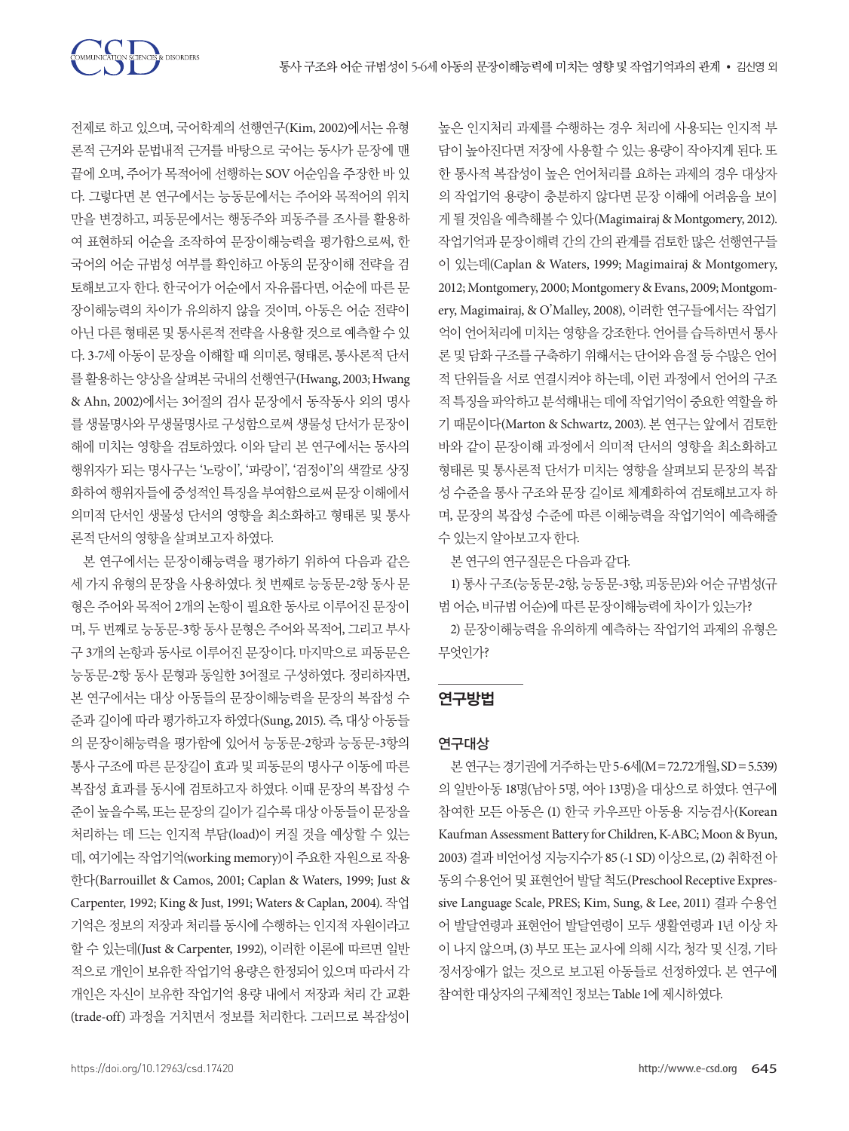TON SCIENCES & DISORDERS

전제로 하고 있으며, 국어학계의 선행연구(Kim, 2002)에서는 유형 론적 근거와 문법내적 근거를 바탕으로 국어는 동사가 문장에 맨 끝에 오며, 주어가 목적어에 선행하는 SOV 어순임을 주장한 바 있 다. 그렇다면 본 연구에서는 능동문에서는 주어와 목적어의 위치 만을 변경하고, 피동문에서는 행동주와 피동주를 조사를 활용하 여 표현하되 어순을 조작하여 문장이해능력을 평가함으로써, 한 국어의 어순 규범성 여부를 확인하고 아동의 문장이해 전략을 검 토해보고자 한다. 한국어가 어순에서 자유롭다면, 어순에 따른 문 장이해능력의 차이가 유의하지 않을 것이며, 아동은 어순 전략이 아닌 다른 형태론 및 통사론적 전략을 사용할 것으로 예측할 수 있 다. 3-7세 아동이 문장을 이해할 때 의미론, 형태론, 통사론적 단서 를 활용하는 양상을 살펴본 국내의 선행연구(Hwang, 2003; Hwang & Ahn, 2002)에서는 3어절의 검사 문장에서 동작동사 외의 명사 를 생물명사와 무생물명사로 구성함으로써 생물성 단서가 문장이 해에 미치는 영향을 검토하였다. 이와 달리 본 연구에서는 동사의 행위자가 되는 명사구는 '노랑이', '파랑이', '검정이'의 색깔로 상징 화하여 행위자들에 중성적인 특징을 부여함으로써 문장 이해에서 의미적 단서인 생물성 단서의 영향을 최소화하고 형태론 및 통사 론적단서의영향을살펴보고자하였다.

본 연구에서는 문장이해능력을 평가하기 위하여 다음과 같은 세 가지 유형의 문장을 사용하였다. 첫 번째로 능동문-2항 동사 문 형은 주어와 목적어 2개의 논항이 필요한 동사로 이루어진 문장이 며, 두 번째로 능동문-3항 동사 문형은 주어와 목적어, 그리고 부사 구 3개의 논항과 동사로 이루어진 문장이다. 마지막으로 피동문은 능동문-2항 동사 문형과 동일한 3어절로 구성하였다. 정리하자면, 본 연구에서는 대상 아동들의 문장이해능력을 문장의 복잡성 수 준과 길이에 따라 평가하고자 하였다(Sung, 2015). 즉, 대상 아동들 의 문장이해능력을 평가함에 있어서 능동문-2항과 능동문-3항의 통사 구조에 따른 문장길이 효과 및 피동문의 명사구 이동에 따른 복잡성 효과를 동시에 검토하고자 하였다. 이때 문장의 복잡성 수 준이 높을수록, 또는 문장의 길이가 길수록 대상 아동들이 문장을 처리하는 데 드는 인지적 부담(load)이 커질 것을 예상할 수 있는 데, 여기에는 작업기억(working memory)이 주요한 자원으로 작용 한다(Barrouillet & Camos, 2001; Caplan & Waters, 1999; Just & Carpenter, 1992; King & Just, 1991; Waters & Caplan, 2004). 작업 기억은 정보의 저장과 처리를 동시에 수행하는 인지적 자원이라고 할 수 있는데(Just & Carpenter, 1992), 이러한 이론에 따르면 일반 적으로 개인이 보유한 작업기억 용량은 한정되어 있으며 따라서 각 개인은 자신이 보유한 작업기억 용량 내에서 저장과 처리 간 교환 (trade-off) 과정을 거치면서 정보를 처리한다. 그러므로 복잡성이

높은 인지처리 과제를 수행하는 경우 처리에 사용되는 인지적 부 담이 높아진다면 저장에 사용할 수 있는 용량이 작아지게 된다. 또 한 통사적 복잡성이 높은 언어처리를 요하는 과제의 경우 대상자 의 작업기억 용량이 충분하지 않다면 문장 이해에 어려움을 보이 게 될 것임을 예측해볼 수 있다(Magimairaj & Montgomery, 2012). 작업기억과 문장이해력 간의 간의 관계를 검토한 많은 선행연구들 이 있는데(Caplan & Waters, 1999; Magimairaj & Montgomery, 2012; Montgomery, 2000; Montgomery & Evans, 2009; Montgomery, Magimairaj, & O'Malley, 2008), 이러한 연구들에서는 작업기 억이 언어처리에 미치는 영향을 강조한다. 언어를 습득하면서 통사 론 및 담화 구조를 구축하기 위해서는 단어와 음절 등 수많은 언어 적 단위들을 서로 연결시켜야 하는데, 이런 과정에서 언어의 구조 적특징을파악하고분석해내는데에작업기억이중요한역할을하 기 때문이다(Marton & Schwartz, 2003). 본 연구는 앞에서 검토한 바와 같이 문장이해 과정에서 의미적 단서의 영향을 최소화하고 형태론 및 통사론적 단서가 미치는 영향을 살펴보되 문장의 복잡 성 수준을 통사 구조와 문장 길이로 체계화하여 검토해보고자 하 며, 문장의 복잡성 수준에 따른 이해능력을 작업기억이 예측해줄 수있는지알아보고자한다.

본연구의연구질문은다음과같다.

1) 통사 구조(능동문-2항, 능동문-3항, 피동문)와 어순 규범성(규 범어순, 비규범어순)에따른문장이해능력에차이가있는가?

2) 문장이해능력을 유의하게 예측하는 작업기억 과제의 유형은 무엇인가?

## 연구방법

## 연구대상

본연구는경기권에 거주하는 만 5-6세(M=72.72개월, SD=5.539) 의 일반아동 18명(남아 5명, 여아 13명)을 대상으로 하였다. 연구에 참여한 모든 아동은 (1) 한국 카우프만 아동용 지능검사(Korean Kaufman Assessment Battery for Children, K-ABC; Moon & Byun, 2003) 결과 비언어성 지능지수가 85 (-1 SD) 이상으로, (2) 취학전 아 동의 수용언어 및 표현언어 발달 척도(Preschool Receptive Expressive Language Scale, PRES; Kim, Sung, & Lee, 2011) 결과 수용언 어 발달연령과 표현언어 발달연령이 모두 생활연령과 1년 이상 차 이 나지 않으며, (3) 부모 또는 교사에 의해 시각, 청각 및 신경, 기타 정서장애가 없는 것으로 보고된 아동들로 선정하였다. 본 연구에 참여한 대상자의 구체적인 정보는 Table 1에 제시하였다.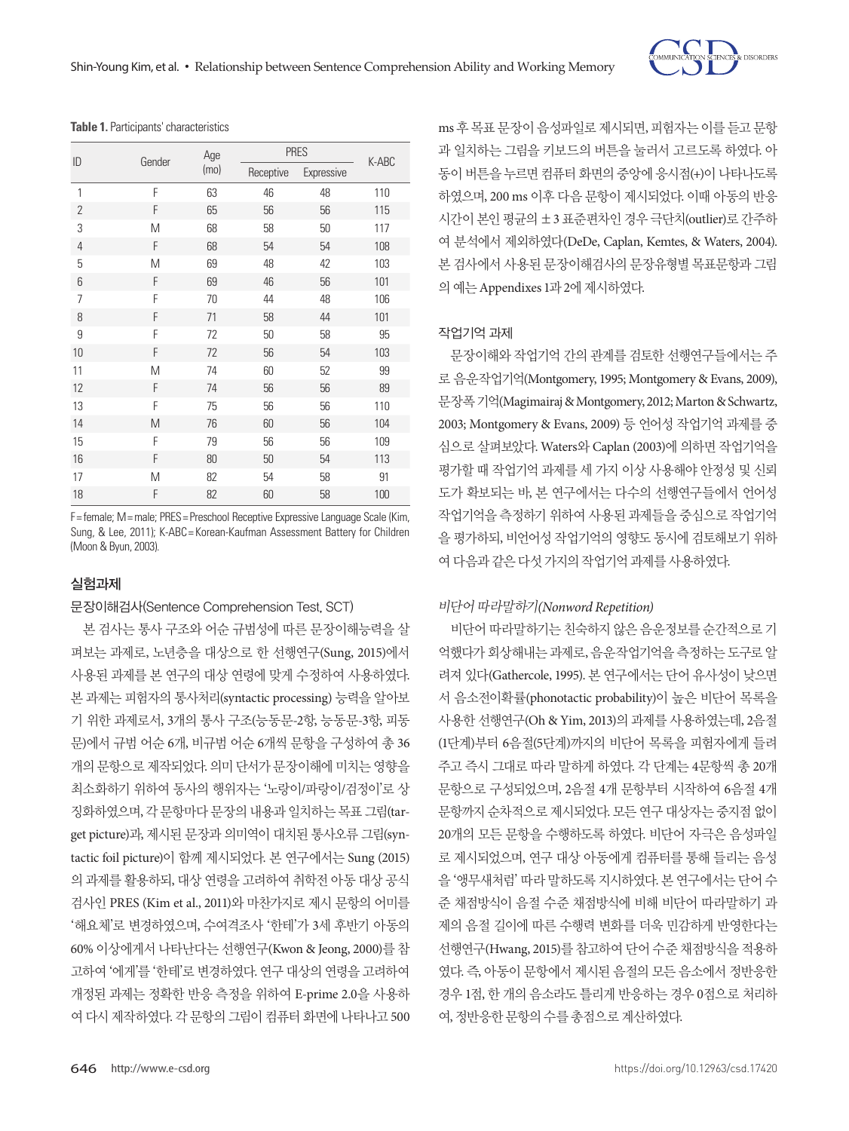

**Table 1.** Participants' characteristics

| ID             | Gender | Age<br>(mo) | <b>PRES</b> |            |       |
|----------------|--------|-------------|-------------|------------|-------|
|                |        |             | Receptive   | Expressive | K-ABC |
| 1              | F      | 63          | 46          | 48         | 110   |
| $\overline{2}$ | F      | 65          | 56          | 56         | 115   |
| 3              | M      | 68          | 58          | 50         | 117   |
| $\overline{4}$ | F      | 68          | 54          | 54         | 108   |
| 5              | Μ      | 69          | 48          | 42         | 103   |
| 6              | F      | 69          | 46          | 56         | 101   |
| 7              | F      | 70          | 44          | 48         | 106   |
| 8              | F      | 71          | 58          | 44         | 101   |
| 9              | F      | 72          | 50          | 58         | 95    |
| 10             | F      | 72          | 56          | 54         | 103   |
| 11             | M      | 74          | 60          | 52         | 99    |
| 12             | F      | 74          | 56          | 56         | 89    |
| 13             | F      | 75          | 56          | 56         | 110   |
| 14             | M      | 76          | 60          | 56         | 104   |
| 15             | F      | 79          | 56          | 56         | 109   |
| 16             | F      | 80          | 50          | 54         | 113   |
| 17             | Μ      | 82          | 54          | 58         | 91    |
| 18             | F      | 82          | 60          | 58         | 100   |

F= female; M= male; PRES= Preschool Receptive Expressive Language Scale (Kim, Sung, & Lee, 2011); K-ABC = Korean-Kaufman Assessment Battery for Children (Moon & Byun, 2003).

## 실험과제

문장이해검사(Sentence Comprehension Test, SCT)

본 검사는 통사 구조와 어순 규범성에 따른 문장이해능력을 살 펴보는 과제로, 노년층을 대상으로 한 선행연구(Sung, 2015)에서 사용된 과제를 본 연구의 대상 연령에 맞게 수정하여 사용하였다. 본 과제는 피험자의 통사처리(syntactic processing) 능력을 알아보 기 위한 과제로서, 3개의 통사 구조(능동문-2항, 능동문-3항, 피동 문)에서 규범 어순 6개, 비규범 어순 6개씩 문항을 구성하여 총 36 개의 문항으로 제작되었다. 의미 단서가 문장이해에 미치는 영향을 최소화하기 위하여 동사의 행위자는 '노랑이/파랑이/검정이'로 상 징화하였으며, 각 문항마다 문장의 내용과 일치하는 목표 그림(target picture)과, 제시된 문장과 의미역이 대치된 통사오류 그림(syntactic foil picture)이 함께 제시되었다. 본 연구에서는 Sung (2015) 의 과제를 활용하되, 대상 연령을 고려하여 취학전 아동 대상 공식 검사인 PRES (Kim et al., 2011)와 마찬가지로 제시 문항의 어미를 '해요체'로 변경하였으며, 수여격조사 '한테'가 3세 후반기 아동의 60% 이상에게서 나타난다는 선행연구(Kwon & Jeong, 2000)를 참 고하여 '에게'를 '한테'로 변경하였다. 연구 대상의 연령을 고려하여 개정된 과제는 정확한 반응 측정을 위하여 E-prime 2.0을 사용하 여 다시 제작하였다. 각 문항의 그림이 컴퓨터 화면에 나타나고 500

ms 후 목표 문장이 음성파일로 제시되면, 피험자는 이를 듣고 문항 과 일치하는 그림을 키보드의 버튼을 눌러서 고르도록 하였다. 아 동이 버튼을 누르면 컴퓨터 화면의 중앙에 응시점(+)이 나타나도록 하였으며, 200 ms 이후 다음 문항이 제시되었다. 이때 아동의 반응 시간이 본인 평균의 ±3 표준편차인 경우 극단치(outlier)로 간주하 여 분석에서 제외하였다(DeDe, Caplan, Kemtes, & Waters, 2004). 본 검사에서 사용된 문장이해검사의 문장유형별 목표문항과 그림 의예는 Appendixes 1과 2에제시하였다.

#### 작업기억 과제

문장이해와 작업기억 간의 관계를 검토한 선행연구들에서는 주 로 음운작업기억(Montgomery, 1995; Montgomery & Evans, 2009), 문장폭기억(Magimairaj & Montgomery, 2012; Marton & Schwartz, 2003; Montgomery & Evans, 2009) 등 언어성 작업기억 과제를 중 심으로 살펴보았다. Waters와 Caplan (2003)에 의하면 작업기억을 평가할 때 작업기억 과제를 세 가지 이상 사용해야 안정성 및 신뢰 도가 확보되는 바, 본 연구에서는 다수의 선행연구들에서 언어성 작업기억을 측정하기 위하여 사용된 과제들을 중심으로 작업기억 을 평가하되, 비언어성 작업기억의 영향도 동시에 검토해보기 위하 여다음과같은다섯가지의작업기억과제를사용하였다.

#### 비단어따라말하기*(Nonword Repetition)*

비단어 따라말하기는 친숙하지 않은 음운정보를 순간적으로 기 억했다가 회상해내는 과제로, 음운작업기억을 측정하는 도구로 알 려져 있다(Gathercole, 1995). 본 연구에서는 단어 유사성이 낮으면 서 음소전이확률(phonotactic probability)이 높은 비단어 목록을 사용한 선행연구(Oh & Yim, 2013)의 과제를 사용하였는데, 2음절 (1단계)부터 6음절(5단계)까지의 비단어 목록을 피험자에게 들려 주고 즉시 그대로 따라 말하게 하였다. 각 단계는 4문항씩 총 20개 문항으로 구성되었으며, 2음절 4개 문항부터 시작하여 6음절 4개 문항까지 순차적으로 제시되었다. 모든 연구 대상자는 중지점 없이 20개의 모든 문항을 수행하도록 하였다. 비단어 자극은 음성파일 로 제시되었으며, 연구 대상 아동에게 컴퓨터를 통해 들리는 음성 을 '앵무새처럼' 따라 말하도록 지시하였다. 본 연구에서는 단어 수 준 채점방식이 음절 수준 채점방식에 비해 비단어 따라말하기 과 제의 음절 길이에 따른 수행력 변화를 더욱 민감하게 반영한다는 선행연구(Hwang, 2015)를 참고하여 단어 수준 채점방식을 적용하 였다. 즉, 아동이 문항에서 제시된 음절의 모든 음소에서 정반응한 경우 1점, 한 개의 음소라도 틀리게 반응하는 경우 0점으로 처리하 여, 정반응한문항의수를총점으로계산하였다.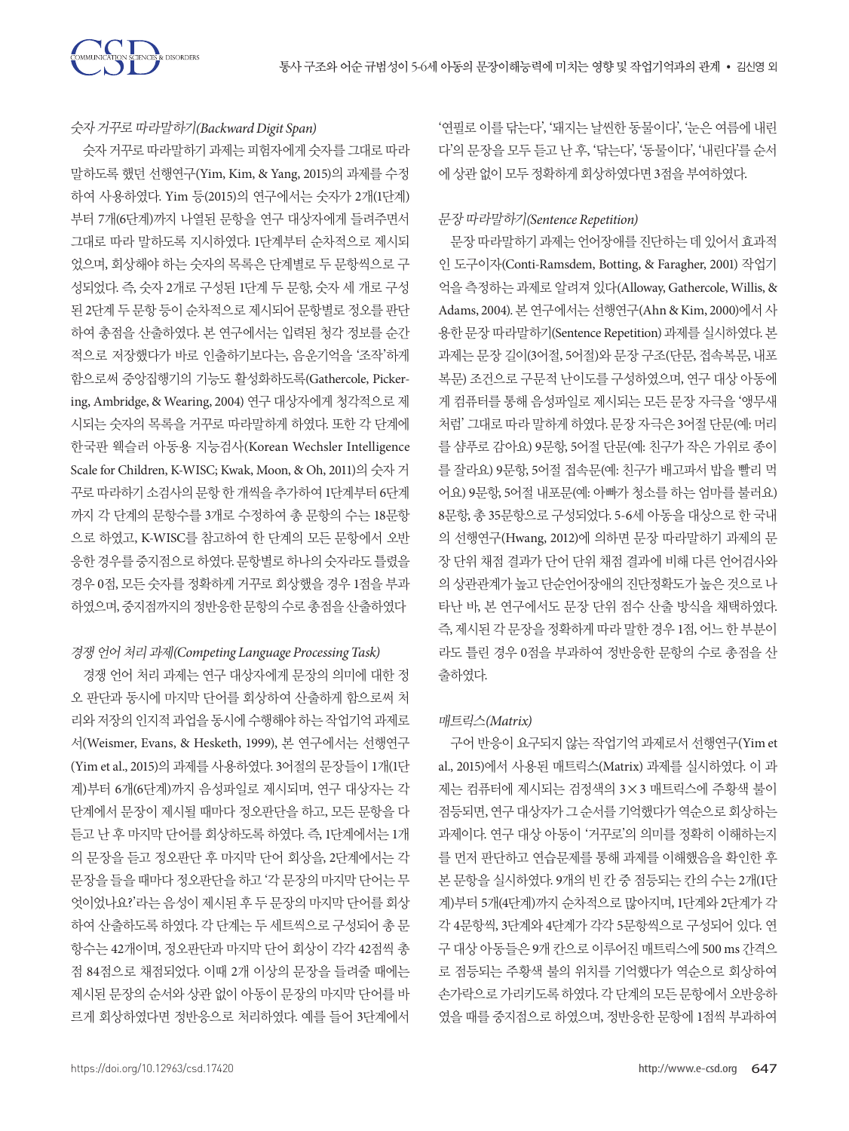## 숫자거꾸로따라말하기*(Backward Digit Span)*

숫자 거꾸로 따라말하기 과제는 피험자에게 숫자를 그대로 따라 말하도록 했던 선행연구(Yim, Kim, & Yang, 2015)의 과제를 수정 하여 사용하였다. Yim 등(2015)의 연구에서는 숫자가 2개(1단계) 부터 7개(6단계)까지 나열된 문항을 연구 대상자에게 들려주면서 그대로 따라 말하도록 지시하였다. 1단계부터 순차적으로 제시되 었으며, 회상해야 하는 숫자의 목록은 단계별로 두 문항씩으로 구 성되었다. 즉, 숫자 2개로 구성된 1단계 두 문항, 숫자 세 개로 구성 된 2단계 두 문항 등이 순차적으로 제시되어 문항별로 정오를 판단 하여 총점을 산출하였다. 본 연구에서는 입력된 청각 정보를 순간 적으로 저장했다가 바로 인출하기보다는, 음운기억을 '조작'하게 함으로써 중앙집행기의 기능도 활성화하도록(Gathercole, Pickering, Ambridge, & Wearing, 2004) 연구 대상자에게 청각적으로 제 시되는 숫자의 목록을 거꾸로 따라말하게 하였다. 또한 각 단계에 한국판 웩슬러 아동용 지능검사(Korean Wechsler Intelligence Scale for Children, K-WISC; Kwak, Moon, & Oh, 2011)의 숫자 거 꾸로 따라하기 소검사의 문항 한개씩을 추가하여 1단계부터 6단계 까지 각 단계의 문항수를 3개로 수정하여 총 문항의 수는 18문항 으로 하였고, K-WISC를 참고하여 한 단계의 모든 문항에서 오반 응한경우를중지점으로하였다. 문항별로하나의숫자라도틀렸을 경우 0점, 모든 숫자를 정확하게 거꾸로 회상했을 경우 1점을 부과 하였으며, 중지점까지의 정반응한 문항의 수로 총점을 산출하였다

#### 경쟁언어처리과제*(Competing Language Processing Task)*

경쟁 언어 처리 과제는 연구 대상자에게 문장의 의미에 대한 정 오 판단과 동시에 마지막 단어를 회상하여 산출하게 함으로써 처 리와 저장의 인지적 과업을 동시에 수행해야 하는 작업기억 과제로 서(Weismer, Evans, & Hesketh, 1999), 본 연구에서는 선행연구 (Yim et al., 2015)의 과제를 사용하였다. 3어절의 문장들이 1개(1단 계)부터 6개(6단계)까지 음성파일로 제시되며, 연구 대상자는 각 단계에서 문장이 제시될 때마다 정오판단을 하고, 모든 문항을 다 듣고 난 후 마지막 단어를 회상하도록 하였다. 즉, 1단계에서는 1개 의 문장을 듣고 정오판단 후 마지막 단어 회상을, 2단계에서는 각 문장을 들을 때마다 정오판단을 하고 '각 문장의 마지막 단어는 무 엇이었나요?'라는 음성이 제시된 후 두 문장의 마지막 단어를 회상 하여 산출하도록 하였다. 각 단계는 두 세트씩으로 구성되어 총 문 항수는 42개이며, 정오판단과 마지막 단어 회상이 각각 42점씩 총 점 84점으로 채점되었다. 이때 2개 이상의 문장을 들려줄 때에는 제시된 문장의 순서와 상관 없이 아동이 문장의 마지막 단어를 바 르게 회상하였다면 정반응으로 처리하였다. 예를 들어 3단계에서

'연필로 이를 닦는다', '돼지는 날씬한 동물이다', '눈은 여름에 내린 다'의 문장을 모두 듣고 난 후, '닦는다', '동물이다', '내린다'를 순서 에상관없이모두정확하게회상하였다면 3점을부여하였다.

#### 문장따라말하기*(Sentence Repetition)*

문장 따라말하기 과제는 언어장애를 진단하는 데 있어서 효과적 인 도구이자(Conti-Ramsdem, Botting, & Faragher, 2001) 작업기 억을 측정하는 과제로 알려져 있다(Alloway, Gathercole, Willis, & Adams, 2004). 본 연구에서는 선행연구(Ahn & Kim, 2000)에서 사 용한 문장 따라말하기(Sentence Repetition) 과제를 실시하였다. 본 과제는 문장 길이(3어절, 5어절)와 문장 구조(단문, 접속복문, 내포 복문) 조건으로 구문적 난이도를 구성하였으며, 연구 대상 아동에 게 컴퓨터를 통해 음성파일로 제시되는 모든 문장 자극을 '앵무새 처럼' 그대로 따라 말하게 하였다. 문장 자극은 3어절 단문(예: 머리 를 샴푸로 감아요) 9문항, 5어절 단문(예: 친구가 작은 가위로 종이 를 잘라요) 9문항, 5어절 접속문(예: 친구가 배고파서 밥을 빨리 먹 어요) 9문항, 5어절 내포문(예: 아빠가 청소를 하는 엄마를 불러요) 8문항, 총 35문항으로 구성되었다. 5-6세 아동을 대상으로 한 국내 의 선행연구(Hwang, 2012)에 의하면 문장 따라말하기 과제의 문 장 단위 채점 결과가 단어 단위 채점 결과에 비해 다른 언어검사와 의 상관관계가 높고 단순언어장애의 진단정확도가 높은 것으로 나 타난 바, 본 연구에서도 문장 단위 점수 산출 방식을 채택하였다. 즉, 제시된 각 문장을 정확하게 따라 말한 경우 1점, 어느 한 부분이 라도 틀린 경우 0점을 부과하여 정반응한 문항의 수로 총점을 산 출하였다.

#### 매트릭스*(Matrix)*

구어 반응이 요구되지 않는 작업기억 과제로서 선행연구(Yim et al., 2015)에서 사용된 매트릭스(Matrix) 과제를 실시하였다. 이 과 제는 컴퓨터에 제시되는 검정색의 3×3 매트릭스에 주황색 불이 점등되면, 연구대상자가그순서를기억했다가역순으로회상하는 과제이다. 연구 대상 아동이 '거꾸로'의 의미를 정확히 이해하는지 를 먼저 판단하고 연습문제를 통해 과제를 이해했음을 확인한 후 본 문항을 실시하였다. 9개의 빈 칸 중 점등되는 칸의 수는 2개(1단 계)부터 5개(4단계)까지 순차적으로 많아지며, 1단계와 2단계가 각 각 4문항씩, 3단계와 4단계가 각각 5문항씩으로 구성되어 있다. 연 구 대상 아동들은 9개 칸으로 이루어진 매트릭스에 500 ms 간격으 로 점등되는 주황색 불의 위치를 기억했다가 역순으로 회상하여 손가락으로 가리키도록 하였다. 각 단계의 모든 문항에서 오반응하 였을 때를 중지점으로 하였으며, 정반응한 문항에 1점씩 부과하여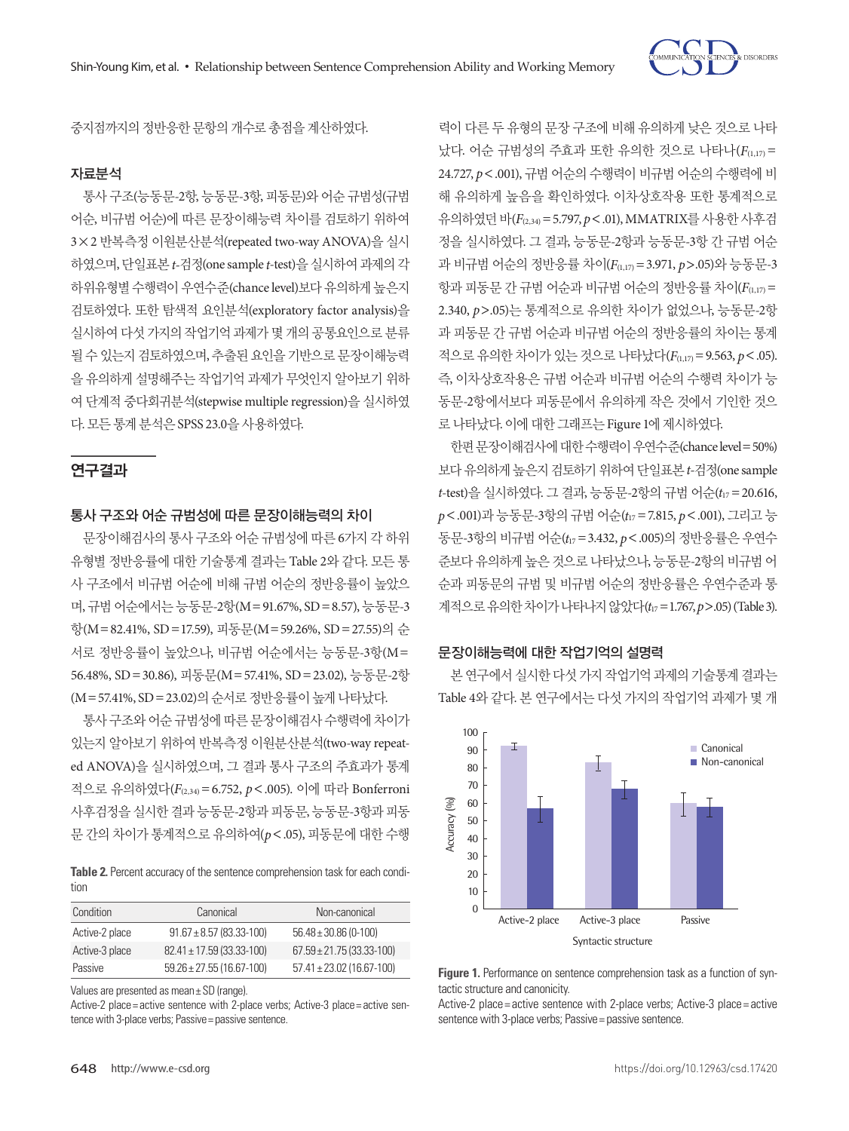

중지점까지의정반응한문항의개수로총점을계산하였다.

#### 자료분석

통사 구조(능동문-2항, 능동문-3항, 피동문)와 어순 규범성(규범 어순, 비규범 어순)에 따른 문장이해능력 차이를 검토하기 위하여 3×2 반복측정 이원분산분석(repeated two-way ANOVA)을 실시 하였으며, 단일표본*t-*검정(one sample *t*-test)을실시하여과제의각 하위유형별 수행력이 우연수준(chance level)보다 유의하게 높은지 검토하였다. 또한 탐색적 요인분석(exploratory factor analysis)을 실시하여 다섯 가지의 작업기억 과제가 몇 개의 공통요인으로 분류 될 수 있는지 검토하였으며, 추출된 요인을 기반으로 문장이해능력 을 유의하게 설명해주는 작업기억 과제가 무엇인지 알아보기 위하 여 단계적 중다회귀분석(stepwise multiple regression)을 실시하였 다. 모든통계분석은 SPSS 23.0을사용하였다.

## 연구결과

## 통사 구조와 어순 규범성에 따른 문장이해능력의 차이

문장이해검사의 통사 구조와 어순 규범성에 따른 6가지 각 하위 유형별 정반응률에 대한 기술통계 결과는 Table 2와 같다. 모든 통 사 구조에서 비규범 어순에 비해 규범 어순의 정반응률이 높았으 며, 규범 어순에서는 능동문-2항(M=91.67%, SD=8.57), 능동문-3 항(M=82.41%, SD=17.59), 피동문(M=59.26%, SD=27.55)의 순 서로 정반응률이 높았으나, 비규범 어순에서는 능동문-3항(M= 56.48%, SD=30.86), 피동문(M=57.41%, SD=23.02), 능동문-2항 (M=57.41%, SD=23.02)의순서로정반응률이높게나타났다.

통사 구조와 어순 규범성에 따른 문장이해검사 수행력에 차이가 있는지 알아보기 위하여 반복측정 이원분산분석(two-way repeated ANOVA)을 실시하였으며, 그 결과 통사 구조의 주효과가 통계 적으로 유의하였다(*F*(2,34)=6.752, *p*<.005). 이에 따라 Bonferroni 사후검정을 실시한 결과 능동문-2항과 피동문, 능동문-3항과 피동 문 간의 차이가 통계적으로 유의하여(*p*<.05), 피동문에 대한 수행

**Table 2.** Percent accuracy of the sentence comprehension task for each condition

| Condition      | Canonical                     | Non-canonical                  |  |
|----------------|-------------------------------|--------------------------------|--|
| Active-2 place | $91.67 \pm 8.57$ (83.33-100)  | $56.48 \pm 30.86$ (0-100)      |  |
| Active-3 place | $82.41 \pm 17.59$ (33.33-100) | $67.59 \pm 21.75(33.33 - 100)$ |  |
| Passive        | $59.26 \pm 27.55(16.67-100)$  | $57.41 \pm 23.02$ (16.67-100)  |  |

Values are presented as mean± SD (range).

Active-2 place= active sentence with 2-place verbs; Active-3 place= active sentence with 3-place verbs; Passive = passive sentence.

력이 다른 두 유형의 문장 구조에 비해 유의하게 낮은 것으로 나타 났다. 어순 규범성의 주효과 또한 유의한 것으로 나타나(*F*(1,17) = 24.727, *p*<.001), 규범 어순의 수행력이 비규범 어순의 수행력에 비 해 유의하게 높음을 확인하였다. 이차상호작용 또한 통계적으로 유의하였던바(*F*(2,34)=5.797, *p*<.01), MMATRIX를사용한사후검 정을 실시하였다. 그 결과, 능동문-2항과 능동문-3항 간 규범 어순 과 비규범 어순의 정반응률 차이( $F_{(1,17)} = 3.971$ ,  $p > .05$ )와 능동문-3 항과 피동문 간 규범 어순과 비규범 어순의 정반응률 차이( $F_{(1,17)}=$ 2.340, *p*>.05)는 통계적으로 유의한 차이가 없었으나, 능동문-2항 과 피동문 간 규범 어순과 비규범 어순의 정반응률의 차이는 통계 적으로 유의한 차이가 있는 것으로 나타났다(*F*(1,17)=9.563, *p*<.05). 즉, 이차상호작용은 규범 어순과 비규범 어순의 수행력 차이가 능 동문-2항에서보다 피동문에서 유의하게 작은 것에서 기인한 것으 로나타났다. 이에대한그래프는 Figure 1에제시하였다.

한편문장이해검사에대한수행력이우연수준(chance level=50%) 보다유의하게높은지검토하기위하여단일표본*t-*검정(one sample *t*-test)을 실시하였다. 그 결과, 능동문-2항의 규범 어순(*t*<sup>17</sup> =20.616, *p*<.001)과 능동문-3항의 규범 어순(*t*<sup>17</sup> =7.815, *p*<.001), 그리고 능 동문-3항의 비규범 어순(*t*<sup>17</sup> =3.432, *p*<.005)의 정반응률은 우연수 준보다 유의하게 높은 것으로 나타났으나, 능동문-2항의 비규범 어 순과 피동문의 규범 및 비규범 어순의 정반응률은 우연수준과 통 계적으로유의한차이가나타나지않았다(*t*<sup>17</sup> =1.767, *p*>.05) (Table 3).

#### 문장이해능력에 대한 작업기억의 설명력

본 연구에서 실시한 다섯 가지 작업기억 과제의 기술통계 결과는 Table 4와 같다. 본 연구에서는 다섯 가지의 작업기억 과제가 몇 개



**Figure 1.** Performance on sentence comprehension task as a function of syntactic structure and canonicity.

Active-2 place = active sentence with 2-place verbs; Active-3 place = active sentence with 3-place verbs; Passive = passive sentence.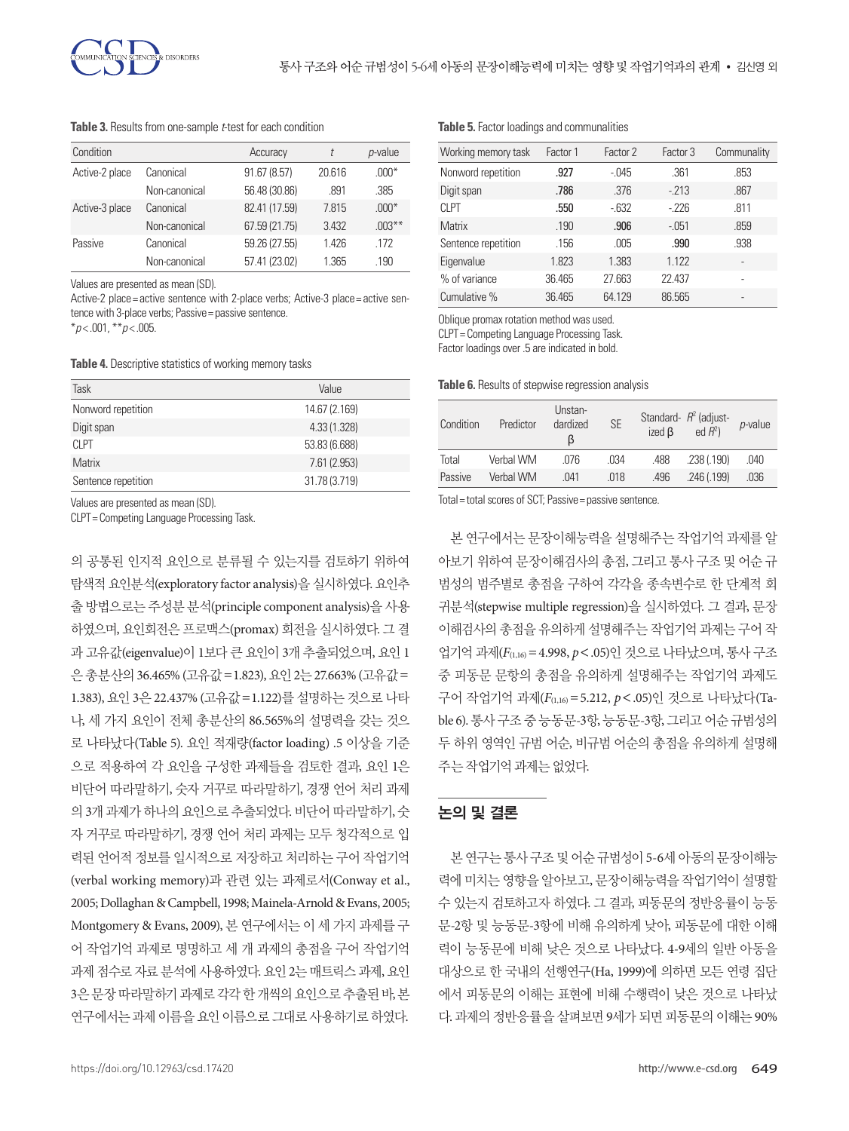**Table 3.** Results from one-sample *t*-test for each condition

| Condition      |               | Accuracy      |        | $p$ -value |
|----------------|---------------|---------------|--------|------------|
| Active-2 place | Canonical     | 91.67 (8.57)  | 20.616 | $.000*$    |
|                | Non-canonical | 56.48 (30.86) | .891   | .385       |
| Active-3 place | Canonical     | 82.41 (17.59) | 7.815  | $.000*$    |
|                | Non-canonical | 67.59 (21.75) | 3.432  | $.003***$  |
| Passive        | Canonical     | 59.26 (27.55) | 1426   | .172       |
|                | Non-canonical | 57.41 (23.02) | 1.365  | .190       |

Values are presented as mean (SD).

Active-2 place= active sentence with 2-place verbs: Active-3 place= active sentence with 3-place verbs; Passive = passive sentence.

\**p* < .001, \*\**p* < .005.

**Table 4.** Descriptive statistics of working memory tasks

| Task                | Value         |
|---------------------|---------------|
| Nonword repetition  | 14.67 (2.169) |
| Digit span          | 4.33(1.328)   |
| CI <sub>PT</sub>    | 53.83 (6.688) |
| <b>Matrix</b>       | 7.61 (2.953)  |
| Sentence repetition | 31.78 (3.719) |

Values are presented as mean (SD).

CLPT= Competing Language Processing Task.

의 공통된 인지적 요인으로 분류될 수 있는지를 검토하기 위하여 탐색적 요인분석(exploratory factor analysis)을 실시하였다. 요인추 출 방법으로는 주성분 분석(principle component analysis)을 사용 하였으며, 요인회전은 프로맥스(promax) 회전을 실시하였다. 그 결 과 고유값(eigenvalue)이 1보다 큰 요인이 3개 추출되었으며, 요인 1 은 총분산의 36.465% (고유값=1.823), 요인 2는 27.663% (고유값= 1.383), 요인 3은 22.437% (고유값=1.122)를 설명하는 것으로 나타 나, 세 가지 요인이 전체 총분산의 86.565%의 설명력을 갖는 것으 로 나타났다(Table 5). 요인 적재량(factor loading) .5 이상을 기준 으로 적용하여 각 요인을 구성한 과제들을 검토한 결과, 요인 1은 비단어 따라말하기, 숫자 거꾸로 따라말하기, 경쟁 언어 처리 과제 의 3개 과제가 하나의 요인으로 추출되었다. 비단어 따라말하기, 숫 자 거꾸로 따라말하기, 경쟁 언어 처리 과제는 모두 청각적으로 입 력된 언어적 정보를 일시적으로 저장하고 처리하는 구어 작업기억 (verbal working memory)과 관련 있는 과제로서(Conway et al., 2005; Dollaghan & Campbell, 1998; Mainela-Arnold & Evans, 2005; Montgomery & Evans, 2009), 본 연구에서는 이 세 가지 과제를 구 어 작업기억 과제로 명명하고 세 개 과제의 총점을 구어 작업기억 과제 점수로 자료 분석에 사용하였다. 요인 2는 매트릭스 과제, 요인 3은 문장 따라말하기 과제로 각각 한 개씩의 요인으로 추출된 바, 본 연구에서는 과제 이름을 요인 이름으로 그대로 사용하기로 하였다.

#### **Table 5.** Factor loadings and communalities

| Working memory task | Factor 1 | Factor 2 | Factor 3 | Communality              |
|---------------------|----------|----------|----------|--------------------------|
| Nonword repetition  | .927     | $-.045$  | .361     | .853                     |
| Digit span          | .786     | .376     | $-213$   | .867                     |
| CI <sub>PT</sub>    | .550     | $-632$   | $-226$   | .811                     |
| <b>Matrix</b>       | .190     | .906     | $-.051$  | .859                     |
| Sentence repetition | .156     | .005     | .990     | .938                     |
| Eigenvalue          | 1.823    | 1.383    | 1.122    | ٠                        |
| % of variance       | 36.465   | 27.663   | 22.437   | ۰                        |
| Cumulative %        | 36.465   | 64.129   | 86.565   | $\overline{\phantom{a}}$ |

Oblique promax rotation method was used.

CLPT= Competing Language Processing Task.

Factor loadings over .5 are indicated in bold.

**Table 6.** Results of stepwise regression analysis

| Condition | Predictor | Unstan-<br>dardized<br>ß | <b>SE</b> | ized $\beta$ | Standard- $R^2$ (adjust-<br>ed $R^2$ ) | $p$ -value |
|-----------|-----------|--------------------------|-----------|--------------|----------------------------------------|------------|
| Total     | Verbal WM | .076                     | .034      | .488         | .238(.190)                             | .040       |
| Passive   | Verbal WM | 041                      | .018      | .496         | .246(.199)                             | .036       |

Total= total scores of SCT; Passive= passive sentence.

본 연구에서는 문장이해능력을 설명해주는 작업기억 과제를 알 아보기 위하여 문장이해검사의 총점, 그리고 통사 구조 및 어순 규 범성의 범주별로 총점을 구하여 각각을 종속변수로 한 단계적 회 귀분석(stepwise multiple regression)을 실시하였다. 그 결과, 문장 이해검사의 총점을 유의하게 설명해주는 작업기억 과제는 구어 작 업기억 과제(*F*(1,16)=4.998, *p*<.05)인 것으로 나타났으며, 통사 구조 중 피동문 문항의 총점을 유의하게 설명해주는 작업기억 과제도 구어 작업기억 과제(*F*(1,16)=5.212, *p*<.05)인 것으로 나타났다(Table 6). 통사 구조 중 능동문-3항, 능동문-3항, 그리고 어순 규범성의 두 하위 영역인 규범 어순, 비규범 어순의 총점을 유의하게 설명해 주는작업기억과제는없었다.

## 논의 및 결론

본연구는통사구조및어순규범성이 5-6세아동의문장이해능 력에 미치는 영향을 알아보고, 문장이해능력을 작업기억이 설명할 수 있는지 검토하고자 하였다. 그 결과, 피동문의 정반응률이 능동 문-2항 및 능동문-3항에 비해 유의하게 낮아, 피동문에 대한 이해 력이 능동문에 비해 낮은 것으로 나타났다. 4-9세의 일반 아동을 대상으로 한 국내의 선행연구(Ha, 1999)에 의하면 모든 연령 집단 에서 피동문의 이해는 표현에 비해 수행력이 낮은 것으로 나타났 다. 과제의 정반응률을 살펴보면 9세가 되면 피동문의 이해는 90%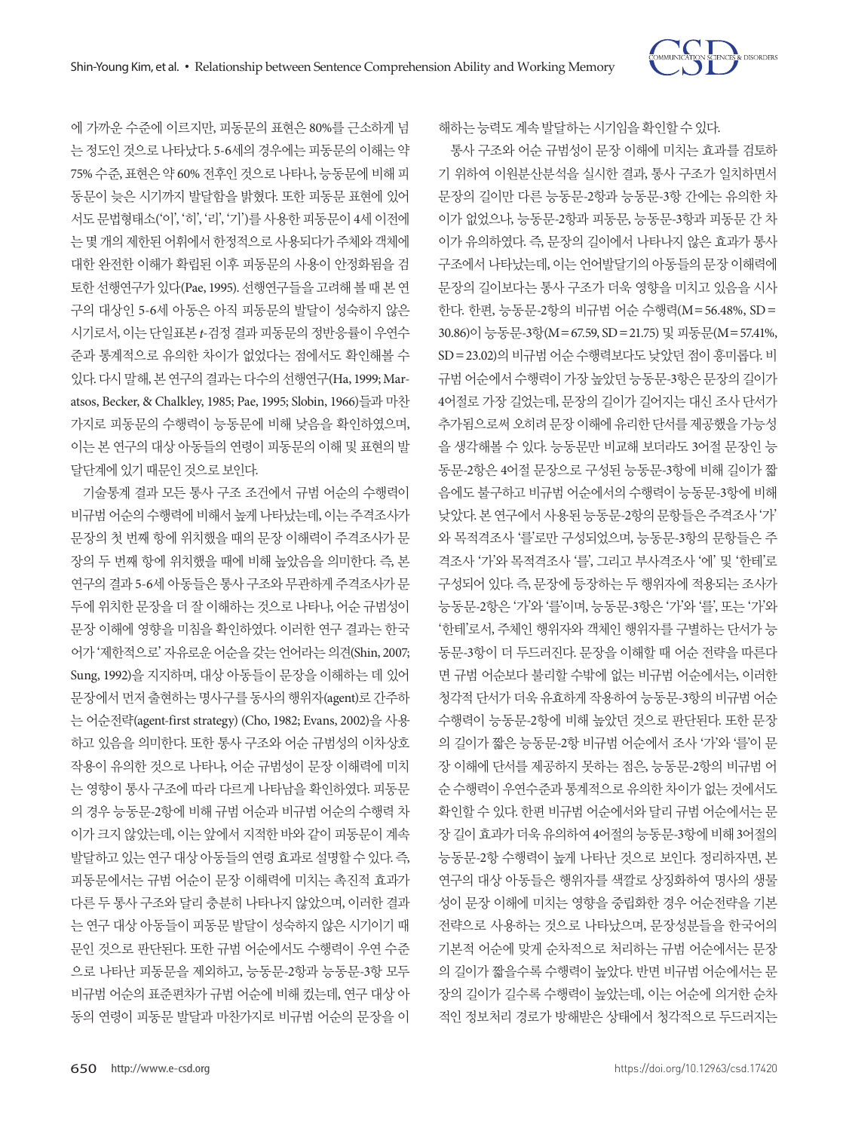

에 가까운 수준에 이르지만, 피동문의 표현은 80%를 근소하게 넘 는 정도인 것으로 나타났다. 5-6세의 경우에는 피동문의 이해는 약 75% 수준, 표현은 약 60% 전후인 것으로 나타나, 능동문에 비해 피 동문이 늦은 시기까지 발달함을 밝혔다. 또한 피동문 표현에 있어 서도 문법형태소('이', '히', '리', '기')를 사용한 피동문이 4세 이전에 는 몇 개의 제한된 어휘에서 한정적으로 사용되다가 주체와 객체에 대한 완전한 이해가 확립된 이후 피동문의 사용이 안정화됨을 검 토한 선행연구가 있다(Pae, 1995). 선행연구들을 고려해 볼 때 본 연 구의 대상인 5-6세 아동은 아직 피동문의 발달이 성숙하지 않은 시기로서, 이는 단일표본 *t*-검정 결과 피동문의 정반응률이 우연수 준과 통계적으로 유의한 차이가 없었다는 점에서도 확인해볼 수 있다. 다시말해, 본연구의결과는다수의선행연구(Ha, 1999; Maratsos, Becker, & Chalkley, 1985; Pae, 1995; Slobin, 1966)들과 마찬 가지로 피동문의 수행력이 능동문에 비해 낮음을 확인하였으며, 이는 본 연구의 대상 아동들의 연령이 피동문의 이해 및 표현의 발 달단계에있기때문인것으로보인다.

기술통계 결과 모든 통사 구조 조건에서 규범 어순의 수행력이 비규범 어순의 수행력에 비해서 높게 나타났는데, 이는 주격조사가 문장의 첫 번째 항에 위치했을 때의 문장 이해력이 주격조사가 문 장의 두 번째 항에 위치했을 때에 비해 높았음을 의미한다. 즉, 본 연구의 결과 5-6세 아동들은 통사 구조와 무관하게 주격조사가 문 두에 위치한 문장을 더 잘 이해하는 것으로 나타나, 어순 규범성이 문장 이해에 영향을 미침을 확인하였다. 이러한 연구 결과는 한국 어가 '제한적으로' 자유로운 어순을 갖는 언어라는 의견(Shin, 2007; Sung, 1992)을 지지하며, 대상 아동들이 문장을 이해하는 데 있어 문장에서 먼저 출현하는 명사구를 동사의 행위자(agent)로 간주하 는 어순전략(agent-first strategy) (Cho, 1982; Evans, 2002)을 사용 하고 있음을 의미한다. 또한 통사 구조와 어순 규범성의 이차상호 작용이 유의한 것으로 나타나, 어순 규범성이 문장 이해력에 미치 는 영향이 통사 구조에 따라 다르게 나타남을 확인하였다. 피동문 의 경우 능동문-2항에 비해 규범 어순과 비규범 어순의 수행력 차 이가 크지 않았는데, 이는 앞에서 지적한 바와 같이 피동문이 계속 발달하고 있는 연구 대상 아동들의 연령 효과로 설명할 수 있다. 즉, 피동문에서는 규범 어순이 문장 이해력에 미치는 촉진적 효과가 다른 두 통사 구조와 달리 충분히 나타나지 않았으며, 이러한 결과 는 연구 대상 아동들이 피동문 발달이 성숙하지 않은 시기이기 때 문인 것으로 판단된다. 또한 규범 어순에서도 수행력이 우연 수준 으로 나타난 피동문을 제외하고, 능동문-2항과 능동문-3항 모두 비규범 어순의 표준편차가 규범 어순에 비해 컸는데, 연구 대상 아 동의 연령이 피동문 발달과 마찬가지로 비규범 어순의 문장을 이

해하는능력도계속발달하는시기임을확인할수있다.

통사 구조와 어순 규범성이 문장 이해에 미치는 효과를 검토하 기 위하여 이원분산분석을 실시한 결과, 통사 구조가 일치하면서 문장의 길이만 다른 능동문-2항과 능동문-3항 간에는 유의한 차 이가 없었으나, 능동문-2항과 피동문, 능동문-3항과 피동문 간 차 이가 유의하였다. 즉, 문장의 길이에서 나타나지 않은 효과가 통사 구조에서 나타났는데, 이는 언어발달기의 아동들의 문장 이해력에 문장의 길이보다는 통사 구조가 더욱 영향을 미치고 있음을 시사 한다. 한편, 능동문-2항의 비규범 어순 수행력(M=56.48%, SD= 30.86)이 능동문-3항(M=67.59, SD=21.75) 및 피동문(M=57.41%, SD=23.02)의 비규범 어순 수행력보다도 낮았던 점이 흥미롭다. 비 규범 어순에서 수행력이 가장 높았던 능동문-3항은 문장의 길이가 4어절로 가장 길었는데, 문장의 길이가 길어지는 대신 조사 단서가 추가됨으로써 오히려 문장 이해에 유리한 단서를 제공했을 가능성 을 생각해볼 수 있다. 능동문만 비교해 보더라도 3어절 문장인 능 동문-2항은 4어절 문장으로 구성된 능동문-3항에 비해 길이가 짧 음에도 불구하고 비규범 어순에서의 수행력이 능동문-3항에 비해 낮았다. 본 연구에서 사용된 능동문-2항의 문항들은 주격조사 '가' 와 목적격조사 '를'로만 구성되었으며, 능동문-3항의 문항들은 주 격조사 '가'와 목적격조사 '를', 그리고 부사격조사 '에' 및 '한테'로 구성되어 있다. 즉, 문장에 등장하는 두 행위자에 적용되는 조사가 능동문-2항은 '가'와 '를'이며, 능동문-3항은 '가'와 '를', 또는 '가'와 '한테'로서, 주체인 행위자와 객체인 행위자를 구별하는 단서가 능 동문-3항이 더 두드러진다. 문장을 이해할 때 어순 전략을 따른다 면 규범 어순보다 불리할 수밖에 없는 비규범 어순에서는, 이러한 청각적 단서가 더욱 유효하게 작용하여 능동문-3항의 비규범 어순 수행력이 능동문-2항에 비해 높았던 것으로 판단된다. 또한 문장 의 길이가 짧은 능동문-2항 비규범 어순에서 조사 '가'와 '를'이 문 장 이해에 단서를 제공하지 못하는 점은, 능동문-2항의 비규범 어 순 수행력이 우연수준과 통계적으로 유의한 차이가 없는 것에서도 확인할 수 있다. 한편 비규범 어순에서와 달리 규범 어순에서는 문 장 길이 효과가 더욱 유의하여 4어절의 능동문-3항에 비해 3어절의 능동문-2항 수행력이 높게 나타난 것으로 보인다. 정리하자면, 본 연구의 대상 아동들은 행위자를 색깔로 상징화하여 명사의 생물 성이 문장 이해에 미치는 영향을 중립화한 경우 어순전략을 기본 전략으로 사용하는 것으로 나타났으며, 문장성분들을 한국어의 기본적 어순에 맞게 순차적으로 처리하는 규범 어순에서는 문장 의 길이가 짧을수록 수행력이 높았다. 반면 비규범 어순에서는 문 장의 길이가 길수록 수행력이 높았는데, 이는 어순에 의거한 순차 적인 정보처리 경로가 방해받은 상태에서 청각적으로 두드러지는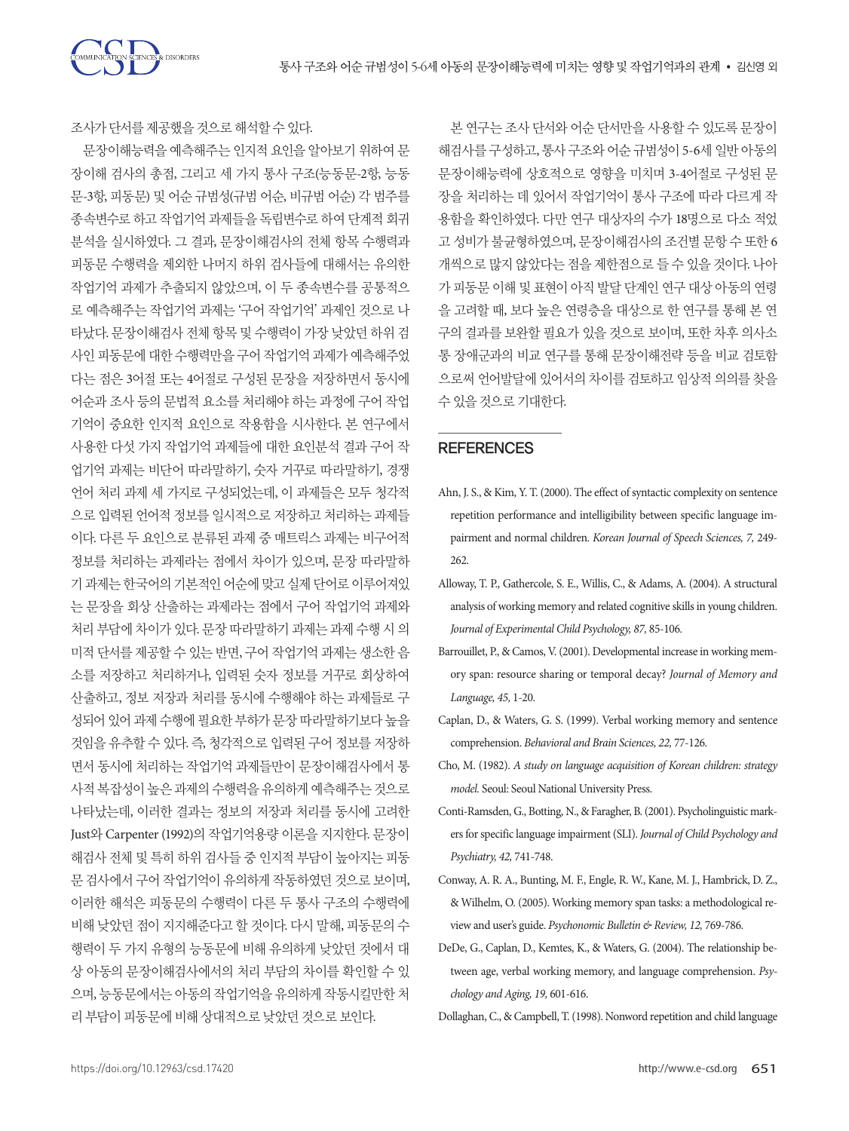CIENCES & DISORDERS

조사가단서를제공했을것으로해석할수있다.

문장이해능력을 예측해주는 인지적 요인을 알아보기 위하여 문 장이해 검사의 총점, 그리고 세 가지 통사 구조(능동문-2항, 능동 문-3항, 피동문) 및 어순 규범성(규범 어순, 비규범 어순) 각 범주를 종속변수로 하고 작업기억 과제들을 독립변수로 하여 단계적 회귀 분석을 실시하였다. 그 결과, 문장이해검사의 전체 항목 수행력과 피동문 수행력을 제외한 나머지 하위 검사들에 대해서는 유의한 작업기억 과제가 추출되지 않았으며, 이 두 종속변수를 공통적으 로 예측해주는 작업기억 과제는 '구어 작업기억' 과제인 것으로 나 타났다. 문장이해검사 전체 항목 및 수행력이 가장 낮았던 하위 검 사인 피동문에 대한 수행력만을 구어 작업기억 과제가 예측해주었 다는 점은 3어절 또는 4어절로 구성된 문장을 저장하면서 동시에 어순과 조사 등의 문법적 요소를 처리해야 하는 과정에 구어 작업 기억이 중요한 인지적 요인으로 작용함을 시사한다. 본 연구에서 사용한 다섯 가지 작업기억 과제들에 대한 요인분석 결과 구어 작 업기억 과제는 비단어 따라말하기, 숫자 거꾸로 따라말하기, 경쟁 언어 처리 과제 세 가지로 구성되었는데, 이 과제들은 모두 청각적 으로 입력된 언어적 정보를 일시적으로 저장하고 처리하는 과제들 이다. 다른 두 요인으로 분류된 과제 중 매트릭스 과제는 비구어적 정보를 처리하는 과제라는 점에서 차이가 있으며, 문장 따라말하 기과제는한국어의기본적인어순에맞고실제단어로이루어져있 는 문장을 회상 산출하는 과제라는 점에서 구어 작업기억 과제와 처리 부담에 차이가 있다. 문장 따라말하기 과제는 과제 수행 시 의 미적 단서를 제공할 수 있는 반면, 구어 작업기억 과제는 생소한 음 소를 저장하고 처리하거나, 입력된 숫자 정보를 거꾸로 회상하여 산출하고, 정보 저장과 처리를 동시에 수행해야 하는 과제들로 구 성되어 있어 과제 수행에 필요한 부하가 문장 따라말하기보다 높을 것임을 유추할 수 있다. 즉, 청각적으로 입력된 구어 정보를 저장하 면서 동시에 처리하는 작업기억 과제들만이 문장이해검사에서 통 사적 복잡성이 높은 과제의 수행력을 유의하게 예측해주는 것으로 나타났는데, 이러한 결과는 정보의 저장과 처리를 동시에 고려한 Just와 Carpenter (1992)의 작업기억용량 이론을 지지한다. 문장이 해검사 전체 및 특히 하위 검사들 중 인지적 부담이 높아지는 피동 문 검사에서 구어 작업기억이 유의하게 작동하였던 것으로 보이며, 이러한 해석은 피동문의 수행력이 다른 두 통사 구조의 수행력에 비해 낮았던 점이 지지해준다고 할 것이다. 다시 말해, 피동문의 수 행력이 두 가지 유형의 능동문에 비해 유의하게 낮았던 것에서 대 상 아동의 문장이해검사에서의 처리 부담의 차이를 확인할 수 있 으며, 능동문에서는 아동의 작업기억을 유의하게 작동시킬만한 처 리 부담이 피동문에 비해 상대적으로 낮았던 것으로 보인다.

본 연구는 조사 단서와 어순 단서만을 사용할 수 있도록 문장이 해검사를 구성하고, 통사 구조와 어순 규범성이 5-6세 일반 아동의 문장이해능력에 상호적으로 영향을 미치며 3-4어절로 구성된 문 장을 처리하는 데 있어서 작업기억이 통사 구조에 따라 다르게 작 용함을 확인하였다. 다만 연구 대상자의 수가 18명으로 다소 적었 고 성비가 불균형하였으며, 문장이해검사의 조건별 문항 수 또한 6 개씩으로 많지 않았다는 점을 제한점으로 들 수 있을 것이다. 나아 가 피동문 이해 및 표현이 아직 발달 단계인 연구 대상 아동의 연령 을 고려할 때, 보다 높은 연령층을 대상으로 한 연구를 통해 본 연 구의 결과를 보완할 필요가 있을 것으로 보이며, 또한 차후 의사소 통 장애군과의 비교 연구를 통해 문장이해전략 등을 비교 검토함 으로써 언어발달에 있어서의 차이를 검토하고 임상적 의의를 찾을 수있을것으로기대한다.

## **REFERENCES**

- Ahn, J. S., & Kim, Y. T. (2000). The effect of syntactic complexity on sentence repetition performance and intelligibility between specific language impairment and normal children. *Korean Journal of Speech Sciences, 7,* 249- 262.
- Alloway, T. P., Gathercole, S. E., Willis, C., & Adams, A. (2004). A structural analysis of working memory and related cognitive skills in young children. *Journal of Experimental Child Psychology, 87,* 85-106.
- Barrouillet, P., & Camos, V. (2001). Developmental increase in working memory span: resource sharing or temporal decay? *Journal of Memory and Language, 45,* 1-20.
- Caplan, D., & Waters, G. S. (1999). Verbal working memory and sentence comprehension. *Behavioral and Brain Sciences, 22,* 77-126.
- Cho, M. (1982). *A study on language acquisition of Korean children: strategy model.* Seoul: Seoul National University Press.
- Conti-Ramsden, G., Botting, N., & Faragher, B. (2001). Psycholinguistic markers for specific language impairment (SLI). *Journal of Child Psychology and Psychiatry, 42,* 741-748.
- Conway, A. R. A., Bunting, M. F., Engle, R. W., Kane, M. J., Hambrick, D. Z., & Wilhelm, O. (2005). Working memory span tasks: a methodological review and user's guide. *Psychonomic Bulletin & Review, 12,* 769-786.
- DeDe, G., Caplan, D., Kemtes, K., & Waters, G. (2004). The relationship between age, verbal working memory, and language comprehension. *Psychology and Aging, 19,* 601-616.

Dollaghan, C., & Campbell, T. (1998). Nonword repetition and child language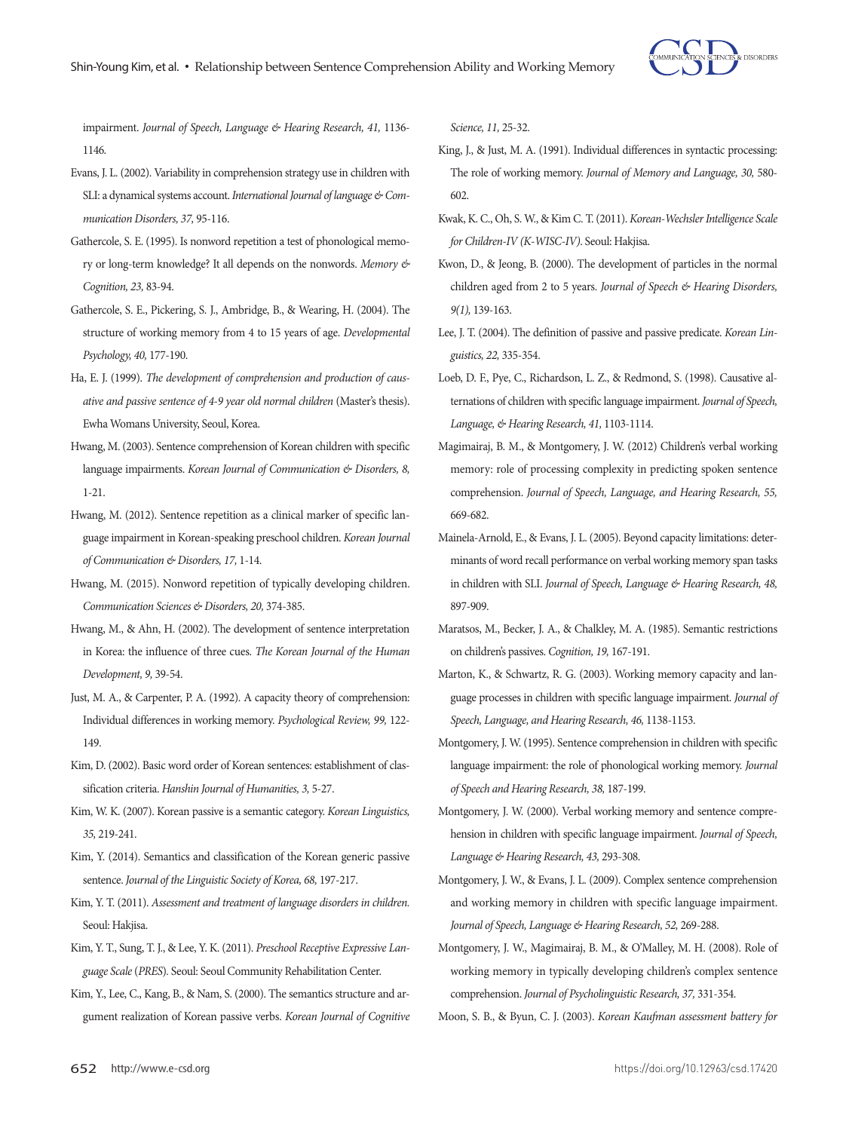

impairment. *Journal of Speech, Language & Hearing Research, 41,* 1136- 1146.

- Evans, J. L. (2002). Variability in comprehension strategy use in children with SLI: a dynamical systems account. *International Journal of language & Communication Disorders, 37,* 95-116.
- Gathercole, S. E. (1995). Is nonword repetition a test of phonological memory or long-term knowledge? It all depends on the nonwords. *Memory & Cognition, 23,* 83-94.
- Gathercole, S. E., Pickering, S. J., Ambridge, B., & Wearing, H. (2004). The structure of working memory from 4 to 15 years of age. *Developmental Psychology, 40,* 177-190.
- Ha, E. J. (1999). *The development of comprehension and production of causative and passive sentence of 4-9 year old normal children* (Master's thesis). Ewha Womans University, Seoul, Korea.
- Hwang, M. (2003). Sentence comprehension of Korean children with specific language impairments. *Korean Journal of Communication & Disorders, 8,*  1-21.
- Hwang, M. (2012). Sentence repetition as a clinical marker of specific language impairment in Korean-speaking preschool children. *Korean Journal of Communication & Disorders, 17,* 1-14.
- Hwang, M. (2015). Nonword repetition of typically developing children. *Communication Sciences & Disorders, 20,* 374-385.
- Hwang, M., & Ahn, H. (2002). The development of sentence interpretation in Korea: the influence of three cues. *The Korean Journal of the Human Development, 9,* 39-54.
- Just, M. A., & Carpenter, P. A. (1992). A capacity theory of comprehension: Individual differences in working memory. *Psychological Review, 99,* 122- 149.
- Kim, D. (2002). Basic word order of Korean sentences: establishment of classification criteria. *Hanshin Journal of Humanities, 3,* 5-27.
- Kim, W. K. (2007). Korean passive is a semantic category. *Korean Linguistics, 35,* 219-241.
- Kim, Y. (2014). Semantics and classification of the Korean generic passive sentence. *Journal of the Linguistic Society of Korea, 68,* 197-217.
- Kim, Y. T. (2011). *Assessment and treatment of language disorders in children.* Seoul: Hakjisa.
- Kim, Y. T., Sung, T. J., & Lee, Y. K. (2011). *Preschool Receptive Expressive Language Scale* (*PRES*)*.* Seoul: Seoul Community Rehabilitation Center.
- Kim, Y., Lee, C., Kang, B., & Nam, S. (2000). The semantics structure and argument realization of Korean passive verbs. *Korean Journal of Cognitive*

*Science, 11,* 25-32.

- King, J., & Just, M. A. (1991). Individual differences in syntactic processing: The role of working memory. *Journal of Memory and Language, 30,* 580- 602.
- Kwak, K. C., Oh, S. W., & Kim C. T. (2011). *Korean-Wechsler Intelligence Scale for Children-IV (K-WISC-IV)*. Seoul: Hakjisa.
- Kwon, D., & Jeong, B. (2000). The development of particles in the normal children aged from 2 to 5 years. *Journal of Speech & Hearing Disorders, 9(1),* 139-163.
- Lee, J. T. (2004). The definition of passive and passive predicate. *Korean Linguistics, 22,* 335-354.
- Loeb, D. F., Pye, C., Richardson, L. Z., & Redmond, S. (1998). Causative alternations of children with specific language impairment. *Journal of Speech, Language, & Hearing Research, 41,* 1103-1114.
- Magimairaj, B. M., & Montgomery, J. W. (2012) Children's verbal working memory: role of processing complexity in predicting spoken sentence comprehension. *Journal of Speech, Language, and Hearing Research, 55,*  669-682.
- Mainela-Arnold, E., & Evans, J. L. (2005). Beyond capacity limitations: determinants of word recall performance on verbal working memory span tasks in children with SLI. *Journal of Speech, Language & Hearing Research, 48,*  897-909.
- Maratsos, M., Becker, J. A., & Chalkley, M. A. (1985). Semantic restrictions on children's passives. *Cognition, 19,* 167-191.
- Marton, K., & Schwartz, R. G. (2003). Working memory capacity and language processes in children with specific language impairment. *Journal of Speech, Language, and Hearing Research, 46,* 1138-1153.
- Montgomery, J. W. (1995). Sentence comprehension in children with specific language impairment: the role of phonological working memory. *Journal of Speech and Hearing Research, 38,* 187-199.
- Montgomery, J. W. (2000). Verbal working memory and sentence comprehension in children with specific language impairment. *Journal of Speech, Language & Hearing Research, 43,* 293-308.
- Montgomery, J. W., & Evans, J. L. (2009). Complex sentence comprehension and working memory in children with specific language impairment. *Journal of Speech, Language & Hearing Research, 52,* 269-288.
- Montgomery, J. W., Magimairaj, B. M., & O'Malley, M. H. (2008). Role of working memory in typically developing children's complex sentence comprehension. *Journal of Psycholinguistic Research, 37,* 331-354.

Moon, S. B., & Byun, C. J. (2003). *Korean Kaufman assessment battery for*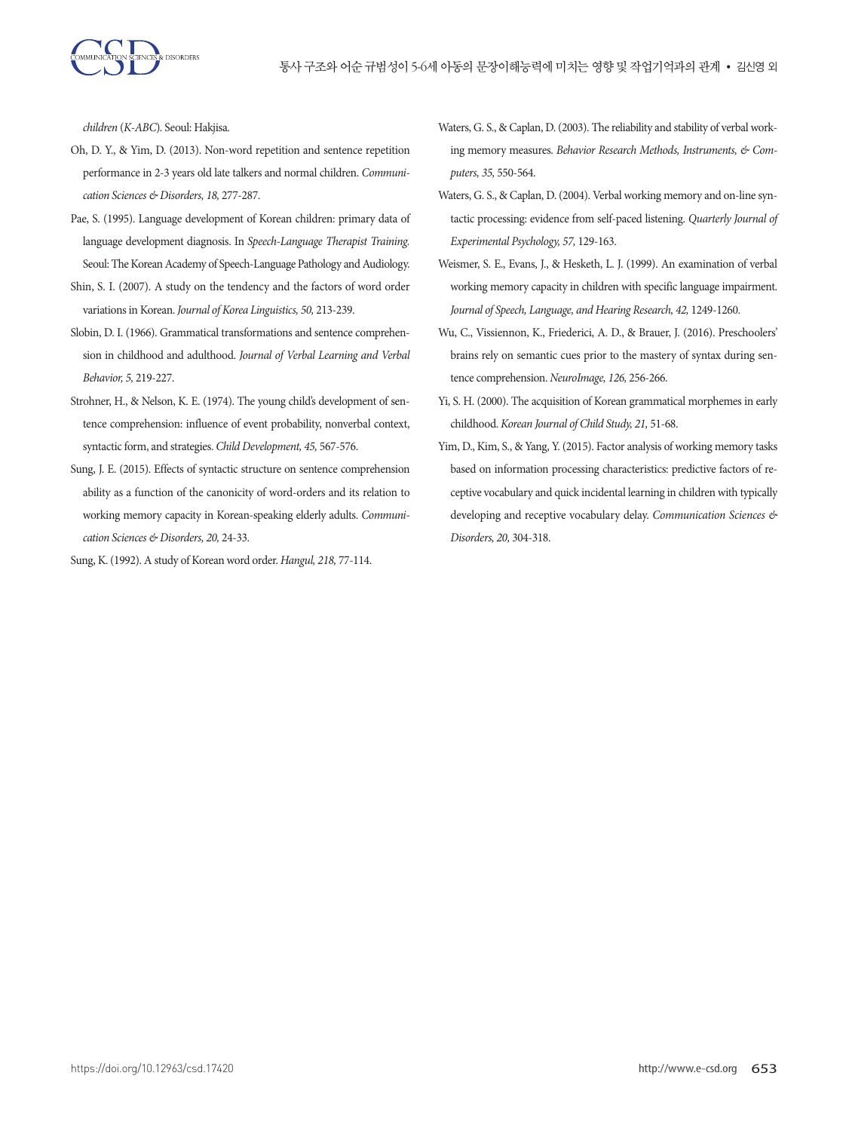

*children* (*K-ABC*)*.* Seoul: Hakjisa.

- Oh, D. Y., & Yim, D. (2013). Non-word repetition and sentence repetition performance in 2-3 years old late talkers and normal children. *Communication Sciences & Disorders, 18,* 277-287.
- Pae, S. (1995). Language development of Korean children: primary data of language development diagnosis. In *Speech-Language Therapist Training.*  Seoul: The Korean Academy of Speech-Language Pathology and Audiology.
- Shin, S. I. (2007). A study on the tendency and the factors of word order variations in Korean. *Journal of Korea Linguistics, 50,* 213-239.
- Slobin, D. I. (1966). Grammatical transformations and sentence comprehension in childhood and adulthood. *Journal of Verbal Learning and Verbal Behavior, 5,* 219-227.
- Strohner, H., & Nelson, K. E. (1974). The young child's development of sentence comprehension: influence of event probability, nonverbal context, syntactic form, and strategies. *Child Development, 45,* 567-576.
- Sung, J. E. (2015). Effects of syntactic structure on sentence comprehension ability as a function of the canonicity of word-orders and its relation to working memory capacity in Korean-speaking elderly adults. *Communication Sciences & Disorders, 20,* 24-33.
- Sung, K. (1992). A study of Korean word order. *Hangul, 218,* 77-114.
- Waters, G. S., & Caplan, D. (2003). The reliability and stability of verbal working memory measures. *Behavior Research Methods, Instruments, & Computers, 35,* 550-564.
- Waters, G. S., & Caplan, D. (2004). Verbal working memory and on-line syntactic processing: evidence from self-paced listening. *Quarterly Journal of Experimental Psychology, 57,* 129-163.
- Weismer, S. E., Evans, J., & Hesketh, L. J. (1999). An examination of verbal working memory capacity in children with specific language impairment. *Journal of Speech, Language, and Hearing Research, 42,* 1249-1260.
- Wu, C., Vissiennon, K., Friederici, A. D., & Brauer, J. (2016). Preschoolers' brains rely on semantic cues prior to the mastery of syntax during sentence comprehension. *NeuroImage, 126,* 256-266.
- Yi, S. H. (2000). The acquisition of Korean grammatical morphemes in early childhood. *Korean Journal of Child Study, 21,* 51-68.
- Yim, D., Kim, S., & Yang, Y. (2015). Factor analysis of working memory tasks based on information processing characteristics: predictive factors of receptive vocabulary and quick incidental learning in children with typically developing and receptive vocabulary delay. *Communication Sciences & Disorders, 20,* 304-318.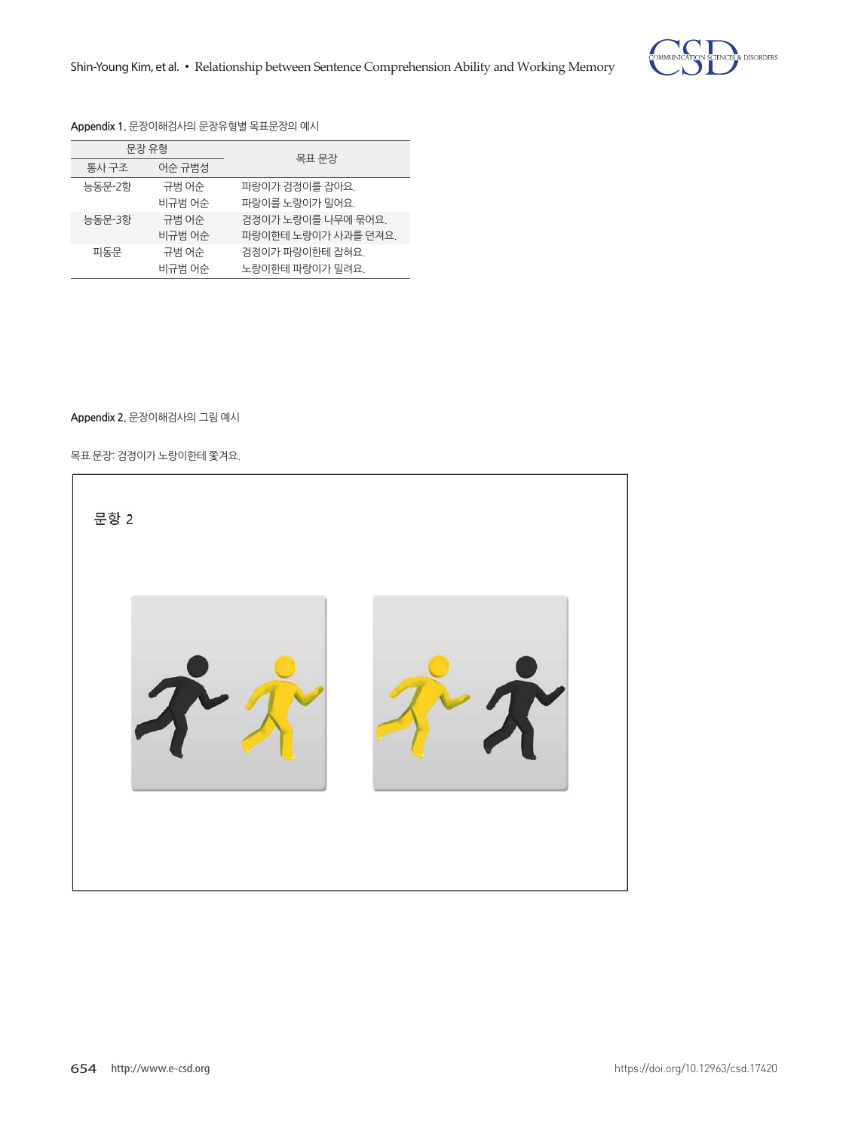

## **Appendix 1.** 문장이해검사의 문장유형별 목표문장의 예시

| 문장 유형  |        | 목표 문장               |  |
|--------|--------|---------------------|--|
| 통사 구조  | 어수 규범성 |                     |  |
| 능동문-2항 | 규범 어수  | 파랑이가 검정이를 잡아요.      |  |
|        | 비규범 어수 | 파랑이를 노랑이가 밀어요.      |  |
| 능동문-3항 | 규범 어수  | 검정이가 노랑이를 나무에 묶어요.  |  |
|        | 비규범 어수 | 파랑이한테 노랑이가 사과를 던져요. |  |
| 피동문    | 규범 어수  | 검정이가 파랑이한테 잡혀요.     |  |
|        | 비규범 어수 | 노랑이한테 파랑이가 밀려요.     |  |

# **Appendix 2.** 문장이해검사의 그림 예시 **Appendix 2.** 문장이해검사의 그림 예시

목표 문장: 검정이가 노랑이한테 쫓겨요. 목표 문장: 검정이가 노랑이한테 쫓겨요.

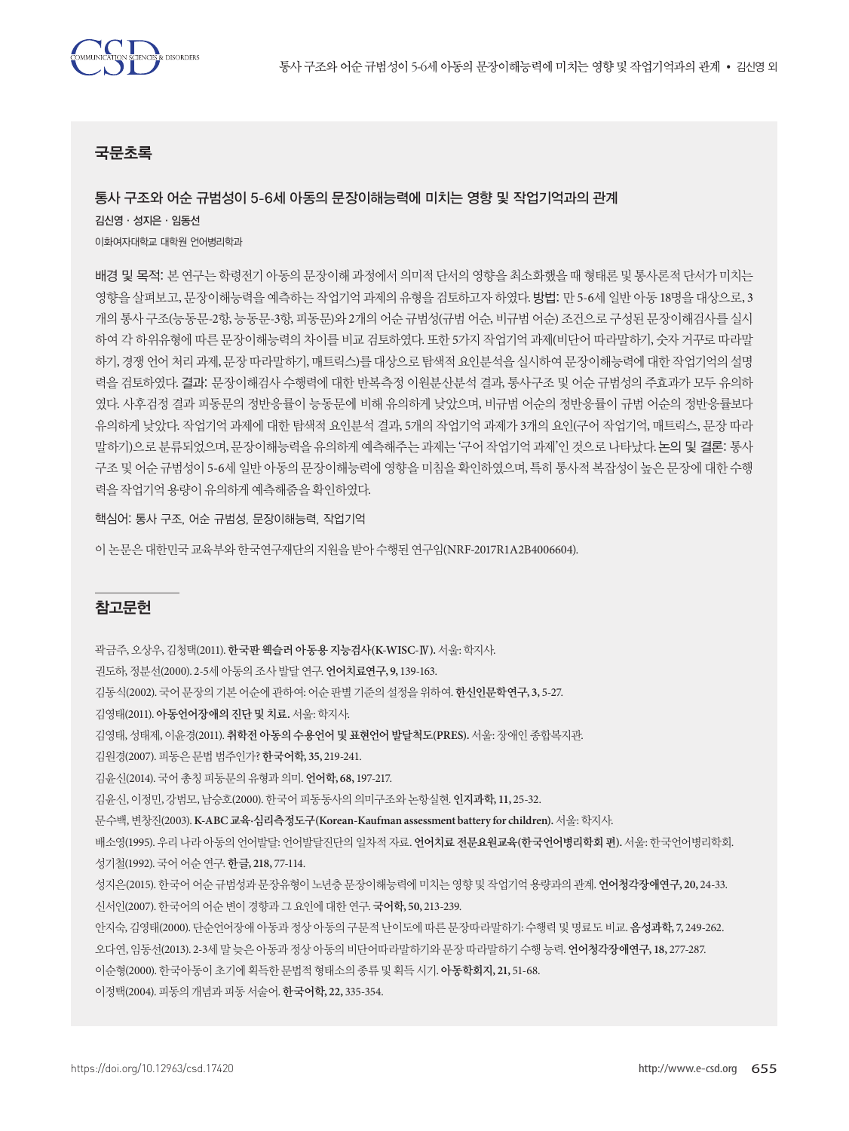# 국문초록

# 통사 구조와 어순 규범성이 5-6세 아동의 문장이해능력에 미치는 영향 및 작업기억과의 관계

김신영·성지은·임동선 이화여자대학교 대학원 언어병리학과

배경 및 목적: 본 연구는 학령전기 아동의 문장이해 과정에서 의미적 단서의 영향을 최소화했을 때 형태론 및 통사론적 단서가 미치는 영향을 살펴보고, 문장이해능력을 예측하는 작업기억 과제의 유형을 검토하고자 하였다. 방법: 만 5-6세 일반 아동 18명을 대상으로, 3 개의 통사 구조(능동문-2항, 능동문-3항, 피동문)와 2개의 어순 규범성(규범 어순, 비규범 어순) 조건으로 구성된 문장이해검사를 실시 하여 각 하위유형에 따른 문장이해능력의 차이를 비교 검토하였다. 또한 5가지 작업기억 과제(비단어 따라말하기, 숫자 거꾸로 따라말 하기, 경쟁 언어 처리 과제, 문장 따라말하기, 매트릭스)를 대상으로 탐색적 요인분석을 실시하여 문장이해능력에 대한 작업기억의 설명 력을 검토하였다. 결과: 문장이해검사 수행력에 대한 반복측정 이원분산분석 결과, 통사구조 및 어순 규범성의 주효과가 모두 유의하 였다. 사후검정 결과 피동문의 정반응률이 능동문에 비해 유의하게 낮았으며, 비규범 어순의 정반응률이 규범 어순의 정반응률보다 유의하게 낮았다. 작업기억 과제에 대한 탐색적 요인분석 결과, 5개의 작업기억 과제가 3개의 요인(구어 작업기억, 매트릭스, 문장 따라 말하기)으로 분류되었으며, 문장이해능력을 유의하게 예측해주는 과제는 '구어 작업기억 과제'인 것으로 나타났다. 논의 및 결론: 통사 구조 및 어순 규범성이 5-6세 일반 아동의 문장이해능력에 영향을 미침을 확인하였으며, 특히 통사적 복잡성이 높은 문장에 대한 수행 력을 작업기억 용량이 유의하게 예측해줌을 확인하였다.

핵심어: 통사 구조, 어순 규범성, 문장이해능력, 작업기억

이논문은대한민국교육부와한국연구재단의지원을받아수행된연구임(NRF-2017R1A2B4006604).

# 참고문헌

곽금주, 오상우, 김청택(2011). 한국판웩슬러아동용지능검사**(K-WISC-**Ⅳ**).**서울: 학지사.

권도하, 정분선(2000). 2-5세아동의조사발달연구. 언어치료연구**, 9,** 139-163.

김동식(2002). 국어문장의기본어순에관하여: 어순판별기준의설정을위하여. 한신인문학연구**, 3,** 5-27.

김영태(2011). 아동언어장애의진단및치료**.** 서울: 학지사.

김영태, 성태제, 이윤경(2011). 취학전아동의수용언어및표현언어발달척도**(PRES).** 서울: 장애인종합복지관.

김원경(2007). 피동은문법범주인가? 한국어학**, 35,** 219-241.

김윤신(2014). 국어총칭피동문의유형과의미. 언어학**, 68,** 197-217.

김윤신, 이정민, 강범모, 남승호(2000). 한국어피동동사의의미구조와논항실현. 인지과학**, 11,** 25-32.

문수백, 변창진(2003). **K-ABC** 교육**·**심리측정도구**(Korean-Kaufman assessment battery for children).** 서울: 학지사.

배소영(1995). 우리나라아동의언어발달: 언어발달진단의일차적자료. 언어치료전문요원교육**(**한국언어병리학회편**).** 서울: 한국언어병리학회. 성기철(1992). 국어어순연구. 한글**, 218,** 77-114.

성지은(2015). 한국어어순규범성과문장유형이노년층문장이해능력에미치는영향및작업기억용량과의관계. 언어청각장애연구**, 20,** 24-33. 신서인(2007). 한국어의어순변이경향과그요인에대한연구. 국어학**, 50,** 213-239.

안지숙, 김영태(2000). 단순언어장애아동과정상아동의구문적난이도에따른문장따라말하기: 수행력및명료도비교. 음성과학**, 7,** 249-262. 오다연, 임동선(2013). 2-3세말늦은아동과정상아동의비단어따라말하기와문장따라말하기수행능력. 언어청각장애연구**, 18,** 277-287.

이순형(2000). 한국아동이초기에획득한문법적형태소의종류및획득시기. 아동학회지**, 21,** 51-68.

이정택(2004). 피동의개념과피동서술어. 한국어학**, 22,** 335-354.